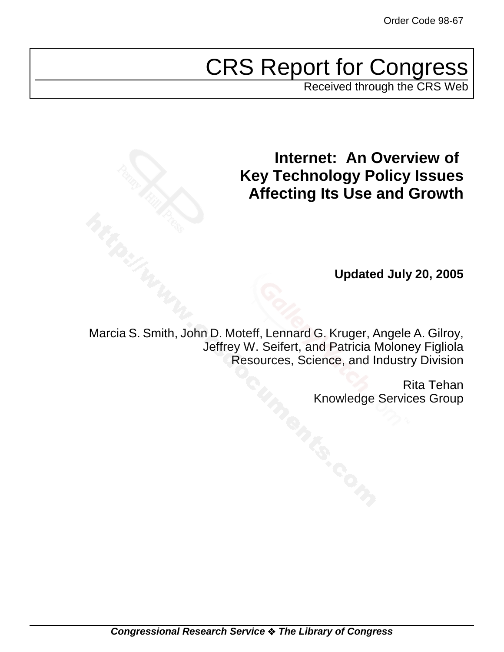# CRS Report for Congress

Received through the CRS Web

## **Internet: An Overview of Key Technology Policy Issues Affecting Its Use and Growth**

**Updated July 20, 2005**

Marcia S. Smith, John D. Moteff, Lennard G. Kruger, Angele A. Gilroy, Jeffrey W. Seifert, and Patricia Moloney Figliola Resources, Science, and Industry Division

> Rita Tehan Knowledge Services Group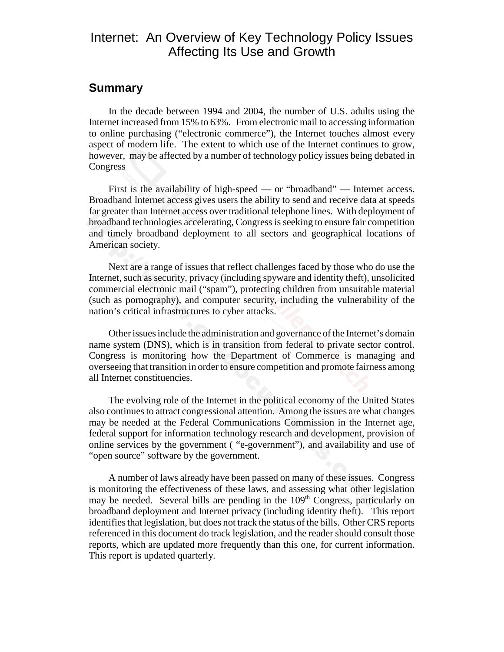## Internet: An Overview of Key Technology Policy Issues Affecting Its Use and Growth

### **Summary**

In the decade between 1994 and 2004, the number of U.S. adults using the Internet increased from 15% to 63%. From electronic mail to accessing information to online purchasing ("electronic commerce"), the Internet touches almost every aspect of modern life. The extent to which use of the Internet continues to grow, however, may be affected by a number of technology policy issues being debated in Congress

First is the availability of high-speed — or "broadband" — Internet access. Broadband Internet access gives users the ability to send and receive data at speeds far greater than Internet access over traditional telephone lines. With deployment of broadband technologies accelerating, Congress is seeking to ensure fair competition and timely broadband deployment to all sectors and geographical locations of American society.

Next are a range of issues that reflect challenges faced by those who do use the Internet, such as security, privacy (including spyware and identity theft), unsolicited commercial electronic mail ("spam"), protecting children from unsuitable material (such as pornography), and computer security, including the vulnerability of the nation's critical infrastructures to cyber attacks.

Other issues include the administration and governance of the Internet's domain name system (DNS), which is in transition from federal to private sector control. Congress is monitoring how the Department of Commerce is managing and overseeing that transition in order to ensure competition and promote fairness among all Internet constituencies.

The evolving role of the Internet in the political economy of the United States also continues to attract congressional attention. Among the issues are what changes may be needed at the Federal Communications Commission in the Internet age, federal support for information technology research and development, provision of online services by the government ( "e-government"), and availability and use of "open source" software by the government.

A number of laws already have been passed on many of these issues. Congress is monitoring the effectiveness of these laws, and assessing what other legislation may be needed. Several bills are pending in the 109<sup>th</sup> Congress, particularly on broadband deployment and Internet privacy (including identity theft). This report identifies that legislation, but does not track the status of the bills. Other CRS reports referenced in this document do track legislation, and the reader should consult those reports, which are updated more frequently than this one, for current information. This report is updated quarterly.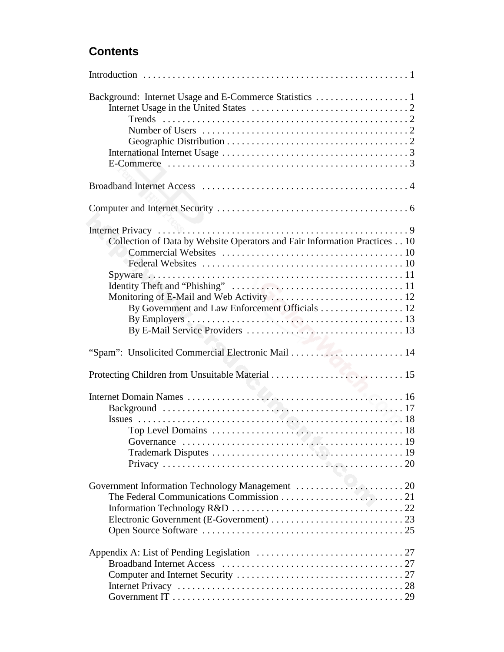## **Contents**

| Collection of Data by Website Operators and Fair Information Practices 10<br>By Government and Law Enforcement Officials 12 |
|-----------------------------------------------------------------------------------------------------------------------------|
|                                                                                                                             |
|                                                                                                                             |
| Top Level Domains $\ldots \ldots \ldots \ldots \ldots \ldots \ldots \ldots \ldots \ldots \ldots \ldots \ldots 18$           |
|                                                                                                                             |
|                                                                                                                             |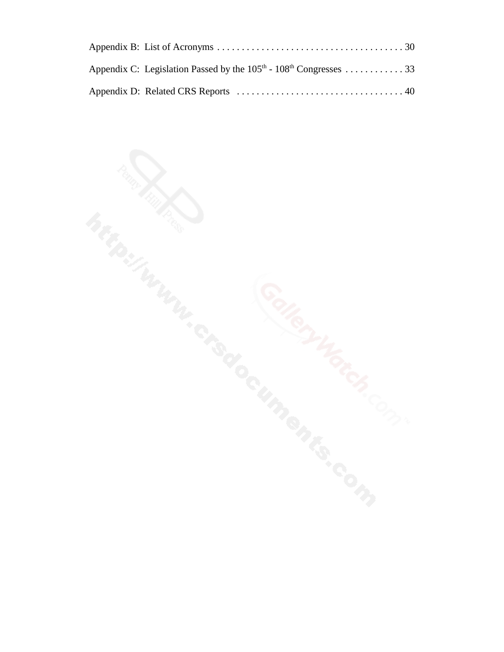| Appendix C: Legislation Passed by the $105th - 108th$ Congresses 33 |
|---------------------------------------------------------------------|
|                                                                     |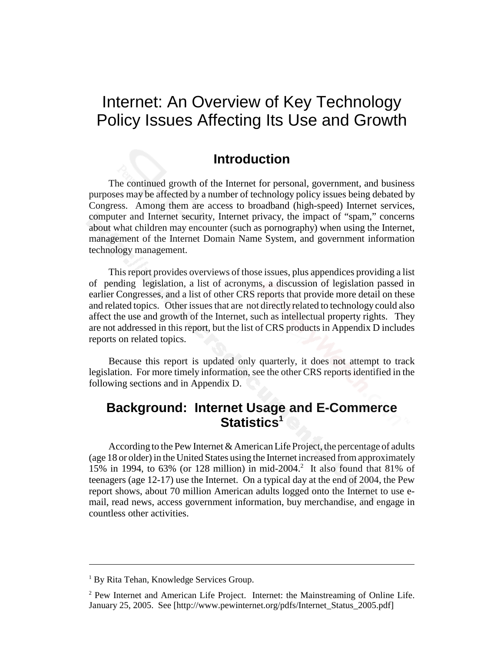## Internet: An Overview of Key Technology Policy Issues Affecting Its Use and Growth

### **Introduction**

The continued growth of the Internet for personal, government, and business purposes may be affected by a number of technology policy issues being debated by Congress. Among them are access to broadband (high-speed) Internet services, computer and Internet security, Internet privacy, the impact of "spam," concerns about what children may encounter (such as pornography) when using the Internet, management of the Internet Domain Name System, and government information technology management.

This report provides overviews of those issues, plus appendices providing a list of pending legislation, a list of acronyms, a discussion of legislation passed in earlier Congresses, and a list of other CRS reports that provide more detail on these and related topics. Other issues that are not directly related to technology could also affect the use and growth of the Internet, such as intellectual property rights. They are not addressed in this report, but the list of CRS products in Appendix D includes reports on related topics.

Because this report is updated only quarterly, it does not attempt to track legislation. For more timely information, see the other CRS reports identified in the following sections and in Appendix D.

## **Background: Internet Usage and E-Commerce** Statistics<sup>1</sup>

According to the Pew Internet & American Life Project, the percentage of adults (age 18 or older) in the United States using the Internet increased from approximately 15% in 1994, to 63% (or 128 million) in mid-2004.<sup>2</sup> It also found that 81% of teenagers (age 12-17) use the Internet. On a typical day at the end of 2004, the Pew report shows, about 70 million American adults logged onto the Internet to use email, read news, access government information, buy merchandise, and engage in countless other activities.

<sup>&</sup>lt;sup>1</sup> By Rita Tehan, Knowledge Services Group.

 $2$  Pew Internet and American Life Project. Internet: the Mainstreaming of Online Life. January 25, 2005. See [http://www.pewinternet.org/pdfs/Internet\_Status\_2005.pdf]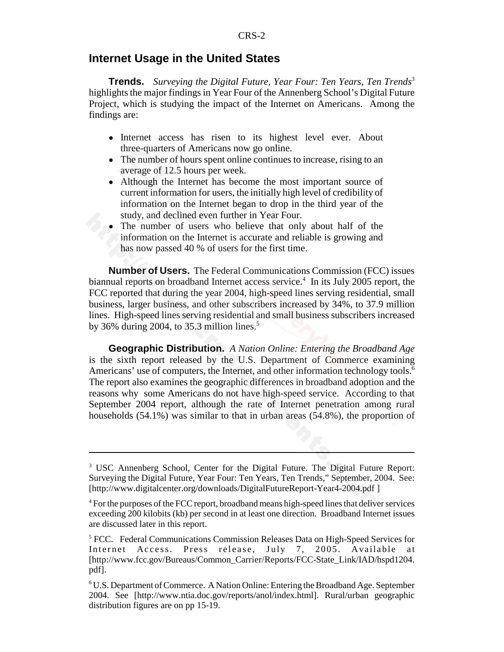#### **Internet Usage in the United States**

**Trends.** *Surveying the Digital Future, Year Four: Ten Years, Ten Trends*<sup>3</sup> highlights the major findings in Year Four of the Annenberg School's Digital Future Project, which is studying the impact of the Internet on Americans. Among the findings are:

- Internet access has risen to its highest level ever. About three-quarters of Americans now go online.
- The number of hours spent online continues to increase, rising to an average of 12.5 hours per week.
- Although the Internet has become the most important source of current information for users, the initially high level of credibility of information on the Internet began to drop in the third year of the study, and declined even further in Year Four.
- The number of users who believe that only about half of the information on the Internet is accurate and reliable is growing and has now passed 40 % of users for the first time.

**Number of Users.** The Federal Communications Commission (FCC) issues biannual reports on broadband Internet access service.<sup>4</sup> In its July 2005 report, the FCC reported that during the year 2004, high-speed lines serving residential, small business, larger business, and other subscribers increased by 34%, to 37.9 million lines. High-speed lines serving residential and small business subscribers increased by 36% during 2004, to 35.3 million lines.<sup>5</sup>

**Geographic Distribution.** *A Nation Online: Entering the Broadband Age* is the sixth report released by the U.S. Department of Commerce examining Americans' use of computers, the Internet, and other information technology tools.<sup>6</sup> The report also examines the geographic differences in broadband adoption and the reasons why some Americans do not have high-speed service. According to that September 2004 report, although the rate of Internet penetration among rural households (54.1%) was similar to that in urban areas (54.8%), the proportion of

<sup>&</sup>lt;sup>3</sup> USC Annenberg School, Center for the Digital Future. The Digital Future Report: Surveying the Digital Future, Year Four: Ten Years, Ten Trends," September, 2004. See: [http://www.digitalcenter.org/downloads/DigitalFutureReport-Year4-2004.pdf ]

<sup>&</sup>lt;sup>4</sup> For the purposes of the FCC report, broadband means high-speed lines that deliver services exceeding 200 kilobits (kb) per second in at least one direction. Broadband Internet issues are discussed later in this report.

<sup>&</sup>lt;sup>5</sup> FCC. Federal Communications Commission Releases Data on High-Speed Services for Internet Access. Press release, July 7, 2005. Available at [http://www.fcc.gov/Bureaus/Common\_Carrier/Reports/FCC-State\_Link/IAD/hspd1204. pdf].

<sup>6</sup> U.S. Department of Commerce. A Nation Online: Entering the Broadband Age. September 2004. See [http://www.ntia.doc.gov/reports/anol/index.html]. Rural/urban geographic distribution figures are on pp 15-19.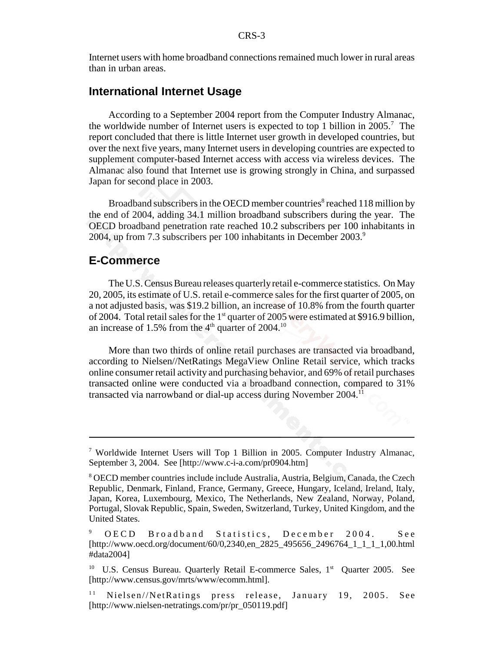Internet users with home broadband connections remained much lower in rural areas than in urban areas.

### **International Internet Usage**

According to a September 2004 report from the Computer Industry Almanac, the worldwide number of Internet users is expected to top 1 billion in 2005.<sup>7</sup> The report concluded that there is little Internet user growth in developed countries, but over the next five years, many Internet users in developing countries are expected to supplement computer-based Internet access with access via wireless devices. The Almanac also found that Internet use is growing strongly in China, and surpassed Japan for second place in 2003.

Broadband subscribers in the OECD member countries<sup>8</sup> reached 118 million by the end of 2004, adding 34.1 million broadband subscribers during the year. The OECD broadband penetration rate reached 10.2 subscribers per 100 inhabitants in 2004, up from 7.3 subscribers per 100 inhabitants in December 2003.9

#### **E-Commerce**

The U.S. Census Bureau releases quarterly retail e-commerce statistics. On May 20, 2005, its estimate of U.S. retail e-commerce sales for the first quarter of 2005, on a not adjusted basis, was \$19.2 billion, an increase of 10.8% from the fourth quarter of 2004. Total retail sales for the 1<sup>st</sup> quarter of 2005 were estimated at \$916.9 billion, an increase of 1.5% from the  $4<sup>th</sup>$  quarter of 2004.<sup>10</sup>

More than two thirds of online retail purchases are transacted via broadband, according to Nielsen//NetRatings MegaView Online Retail service, which tracks online consumer retail activity and purchasing behavior, and 69% of retail purchases transacted online were conducted via a broadband connection, compared to 31% transacted via narrowband or dial-up access during November 2004.11

<sup>&</sup>lt;sup>7</sup> Worldwide Internet Users will Top 1 Billion in 2005. Computer Industry Almanac, September 3, 2004. See [http://www.c-i-a.com/pr0904.htm]

<sup>&</sup>lt;sup>8</sup> OECD member countries include include Australia, Austria, Belgium, Canada, the Czech Republic, Denmark, Finland, France, Germany, Greece, Hungary, Iceland, Ireland, Italy, Japan, Korea, Luxembourg, Mexico, The Netherlands, New Zealand, Norway, Poland, Portugal, Slovak Republic, Spain, Sweden, Switzerland, Turkey, United Kingdom, and the United States.

<sup>9</sup> OECD Broadband Statistics, December 2004. See [http://www.oecd.org/document/60/0,2340,en\_2825\_495656\_2496764\_1\_1\_1\_1,00.html #data2004]

<sup>&</sup>lt;sup>10</sup> U.S. Census Bureau. Quarterly Retail E-commerce Sales, 1<sup>st</sup> Quarter 2005. See [http://www.census.gov/mrts/www/ecomm.html].

 $11$  Nielsen//NetRatings press release, January 19, 2005. See [http://www.nielsen-netratings.com/pr/pr\_050119.pdf]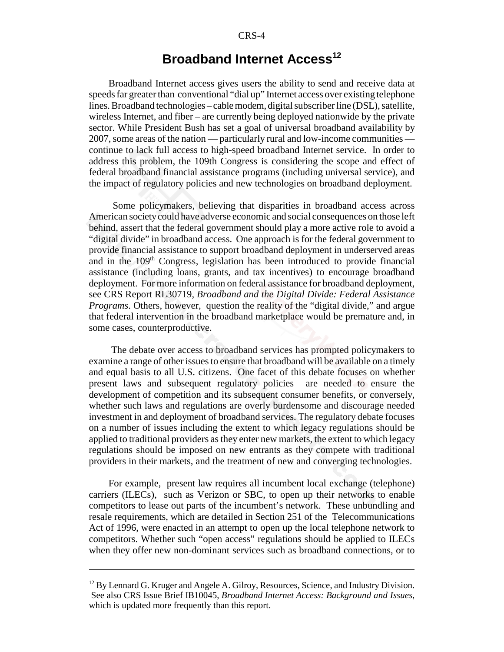## **Broadband Internet Access<sup>12</sup>**

Broadband Internet access gives users the ability to send and receive data at speeds far greater than conventional "dial up" Internet access over existing telephone lines. Broadband technologies – cable modem, digital subscriber line (DSL), satellite, wireless Internet, and fiber – are currently being deployed nationwide by the private sector. While President Bush has set a goal of universal broadband availability by 2007, some areas of the nation — particularly rural and low-income communities continue to lack full access to high-speed broadband Internet service. In order to address this problem, the 109th Congress is considering the scope and effect of federal broadband financial assistance programs (including universal service), and the impact of regulatory policies and new technologies on broadband deployment.

 Some policymakers, believing that disparities in broadband access across American society could have adverse economic and social consequences on those left behind, assert that the federal government should play a more active role to avoid a "digital divide" in broadband access. One approach is for the federal government to provide financial assistance to support broadband deployment in underserved areas and in the 109<sup>th</sup> Congress, legislation has been introduced to provide financial assistance (including loans, grants, and tax incentives) to encourage broadband deployment. For more information on federal assistance for broadband deployment, see CRS Report RL30719, *Broadband and the Digital Divide: Federal Assistance Programs*. Others, however, question the reality of the "digital divide," and argue that federal intervention in the broadband marketplace would be premature and, in some cases, counterproductive.

 The debate over access to broadband services has prompted policymakers to examine a range of other issues to ensure that broadband will be available on a timely and equal basis to all U.S. citizens. One facet of this debate focuses on whether present laws and subsequent regulatory policies are needed to ensure the development of competition and its subsequent consumer benefits, or conversely, whether such laws and regulations are overly burdensome and discourage needed investment in and deployment of broadband services. The regulatory debate focuses on a number of issues including the extent to which legacy regulations should be applied to traditional providers as they enter new markets, the extent to which legacy regulations should be imposed on new entrants as they compete with traditional providers in their markets, and the treatment of new and converging technologies.

For example, present law requires all incumbent local exchange (telephone) carriers (ILECs), such as Verizon or SBC, to open up their networks to enable competitors to lease out parts of the incumbent's network. These unbundling and resale requirements, which are detailed in Section 251 of the Telecommunications Act of 1996, were enacted in an attempt to open up the local telephone network to competitors. Whether such "open access" regulations should be applied to ILECs when they offer new non-dominant services such as broadband connections, or to

<sup>&</sup>lt;sup>12</sup> By Lennard G. Kruger and Angele A. Gilroy, Resources, Science, and Industry Division. See also CRS Issue Brief IB10045, *Broadband Internet Access: Background and Issues*, which is updated more frequently than this report.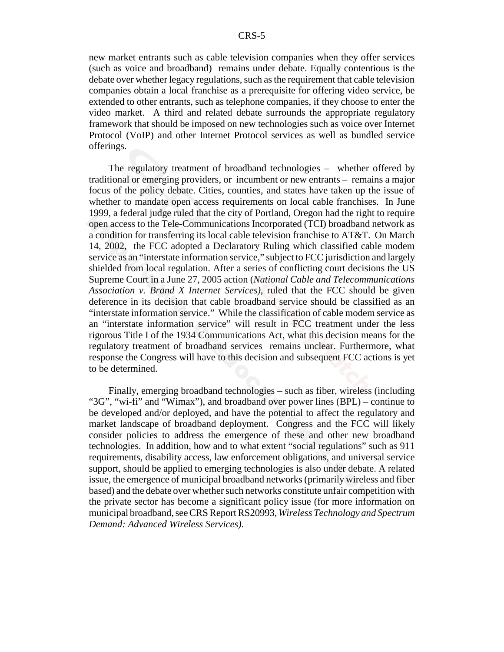new market entrants such as cable television companies when they offer services (such as voice and broadband) remains under debate. Equally contentious is the debate over whether legacy regulations, such as the requirement that cable television companies obtain a local franchise as a prerequisite for offering video service, be extended to other entrants, such as telephone companies, if they choose to enter the video market. A third and related debate surrounds the appropriate regulatory framework that should be imposed on new technologies such as voice over Internet Protocol (VoIP) and other Internet Protocol services as well as bundled service offerings.

The regulatory treatment of broadband technologies – whether offered by traditional or emerging providers, or incumbent or new entrants – remains a major focus of the policy debate. Cities, counties, and states have taken up the issue of whether to mandate open access requirements on local cable franchises. In June 1999, a federal judge ruled that the city of Portland, Oregon had the right to require open access to the Tele-Communications Incorporated (TCI) broadband network as a condition for transferring its local cable television franchise to AT&T. On March 14, 2002, the FCC adopted a Declaratory Ruling which classified cable modem service as an "interstate information service," subject to FCC jurisdiction and largely shielded from local regulation. After a series of conflicting court decisions the US Supreme Court in a June 27, 2005 action (*National Cable and Telecommunications Association v. Brand X Internet Services),* ruled that the FCC should be given deference in its decision that cable broadband service should be classified as an "interstate information service." While the classification of cable modem service as an "interstate information service" will result in FCC treatment under the less rigorous Title I of the 1934 Communications Act, what this decision means for the regulatory treatment of broadband services remains unclear. Furthermore, what response the Congress will have to this decision and subsequent FCC actions is yet to be determined.

Finally, emerging broadband technologies – such as fiber, wireless (including "3G", "wi-fi" and "Wimax"), and broadband over power lines (BPL) – continue to be developed and/or deployed, and have the potential to affect the regulatory and market landscape of broadband deployment. Congress and the FCC will likely consider policies to address the emergence of these and other new broadband technologies. In addition, how and to what extent "social regulations" such as 911 requirements, disability access, law enforcement obligations, and universal service support, should be applied to emerging technologies is also under debate. A related issue, the emergence of municipal broadband networks (primarily wireless and fiber based) and the debate over whether such networks constitute unfair competition with the private sector has become a significant policy issue (for more information on municipal broadband, see CRS Report RS20993, *Wireless Technology and Spectrum Demand: Advanced Wireless Services)*.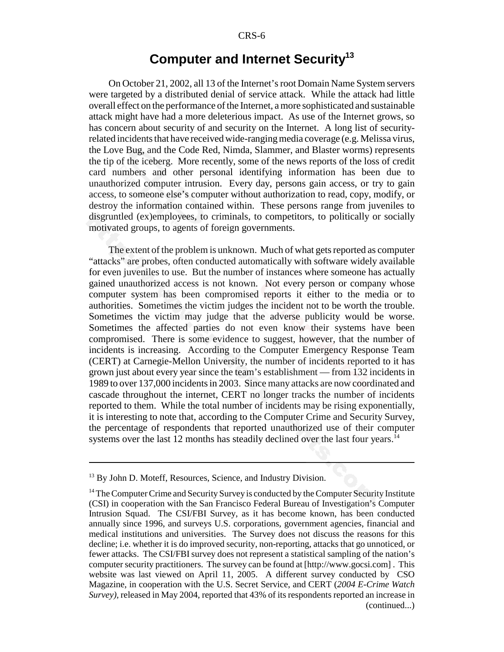## **Computer and Internet Security13**

On October 21, 2002, all 13 of the Internet's root Domain Name System servers were targeted by a distributed denial of service attack. While the attack had little overall effect on the performance of the Internet, a more sophisticated and sustainable attack might have had a more deleterious impact. As use of the Internet grows, so has concern about security of and security on the Internet. A long list of securityrelated incidents that have received wide-ranging media coverage (e.g. Melissa virus, the Love Bug, and the Code Red, Nimda, Slammer, and Blaster worms) represents the tip of the iceberg. More recently, some of the news reports of the loss of credit card numbers and other personal identifying information has been due to unauthorized computer intrusion. Every day, persons gain access, or try to gain access, to someone else's computer without authorization to read, copy, modify, or destroy the information contained within. These persons range from juveniles to disgruntled (ex)employees, to criminals, to competitors, to politically or socially motivated groups, to agents of foreign governments.

The extent of the problem is unknown. Much of what gets reported as computer "attacks" are probes, often conducted automatically with software widely available for even juveniles to use. But the number of instances where someone has actually gained unauthorized access is not known. Not every person or company whose computer system has been compromised reports it either to the media or to authorities. Sometimes the victim judges the incident not to be worth the trouble. Sometimes the victim may judge that the adverse publicity would be worse. Sometimes the affected parties do not even know their systems have been compromised. There is some evidence to suggest, however, that the number of incidents is increasing. According to the Computer Emergency Response Team (CERT) at Carnegie-Mellon University, the number of incidents reported to it has grown just about every year since the team's establishment — from 132 incidents in 1989 to over 137,000 incidents in 2003. Since many attacks are now coordinated and cascade throughout the internet, CERT no longer tracks the number of incidents reported to them. While the total number of incidents may be rising exponentially, it is interesting to note that, according to the Computer Crime and Security Survey, the percentage of respondents that reported unauthorized use of their computer systems over the last 12 months has steadily declined over the last four years.<sup>14</sup>

<sup>&</sup>lt;sup>13</sup> By John D. Moteff, Resources, Science, and Industry Division.

<sup>&</sup>lt;sup>14</sup> The Computer Crime and Security Survey is conducted by the Computer Security Institute (CSI) in cooperation with the San Francisco Federal Bureau of Investigation's Computer Intrusion Squad. The CSI/FBI Survey, as it has become known, has been conducted annually since 1996, and surveys U.S. corporations, government agencies, financial and medical institutions and universities. The Survey does not discuss the reasons for this decline; i.e. whether it is do improved security, non-reporting, attacks that go unnoticed, or fewer attacks. The CSI/FBI survey does not represent a statistical sampling of the nation's computer security practitioners. The survey can be found at [http://www.gocsi.com] . This website was last viewed on April 11, 2005. A different survey conducted by CSO Magazine, in cooperation with the U.S. Secret Service, and CERT (*2004 E-Crime Watch Survey),* released in May 2004, reported that 43% of its respondents reported an increase in (continued...)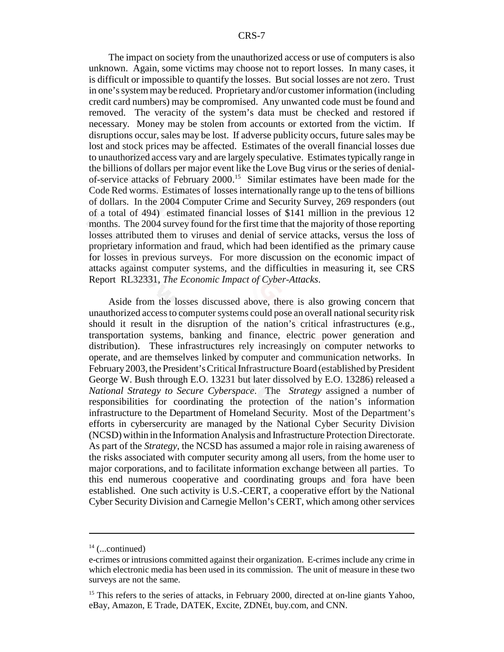The impact on society from the unauthorized access or use of computers is also unknown. Again, some victims may choose not to report losses. In many cases, it is difficult or impossible to quantify the losses. But social losses are not zero. Trust in one's system may be reduced. Proprietary and/or customer information (including credit card numbers) may be compromised. Any unwanted code must be found and removed. The veracity of the system's data must be checked and restored if necessary. Money may be stolen from accounts or extorted from the victim. If disruptions occur, sales may be lost. If adverse publicity occurs, future sales may be lost and stock prices may be affected. Estimates of the overall financial losses due to unauthorized access vary and are largely speculative. Estimates typically range in the billions of dollars per major event like the Love Bug virus or the series of denialof-service attacks of February 2000.15 Similar estimates have been made for the Code Red worms. Estimates of losses internationally range up to the tens of billions of dollars. In the 2004 Computer Crime and Security Survey, 269 responders (out of a total of 494) estimated financial losses of \$141 million in the previous 12 months. The 2004 survey found for the first time that the majority of those reporting losses attributed them to viruses and denial of service attacks, versus the loss of proprietary information and fraud, which had been identified as the primary cause for losses in previous surveys. For more discussion on the economic impact of attacks against computer systems, and the difficulties in measuring it, see CRS Report RL32331, *The Economic Impact of Cyber-Attacks*.

Aside from the losses discussed above, there is also growing concern that unauthorized access to computer systems could pose an overall national security risk should it result in the disruption of the nation's critical infrastructures (e.g., transportation systems, banking and finance, electric power generation and distribution). These infrastructures rely increasingly on computer networks to operate, and are themselves linked by computer and communication networks. In February 2003, the President's Critical Infrastructure Board (established by President George W. Bush through E.O. 13231 but later dissolved by E.O. 13286) released a *National Strategy to Secure Cyberspace*. The *Strategy* assigned a number of responsibilities for coordinating the protection of the nation's information infrastructure to the Department of Homeland Security. Most of the Department's efforts in cybersercurity are managed by the National Cyber Security Division (NCSD) within in the Information Analysis and Infrastructure Protection Directorate. As part of the *Strategy*, the NCSD has assumed a major role in raising awareness of the risks associated with computer security among all users, from the home user to major corporations, and to facilitate information exchange between all parties. To this end numerous cooperative and coordinating groups and fora have been established. One such activity is U.S.-CERT, a cooperative effort by the National Cyber Security Division and Carnegie Mellon's CERT, which among other services

 $14$  (...continued)

e-crimes or intrusions committed against their organization. E-crimes include any crime in which electronic media has been used in its commission. The unit of measure in these two surveys are not the same.

<sup>&</sup>lt;sup>15</sup> This refers to the series of attacks, in February 2000, directed at on-line giants Yahoo, eBay, Amazon, E Trade, DATEK, Excite, ZDNEt, buy.com, and CNN.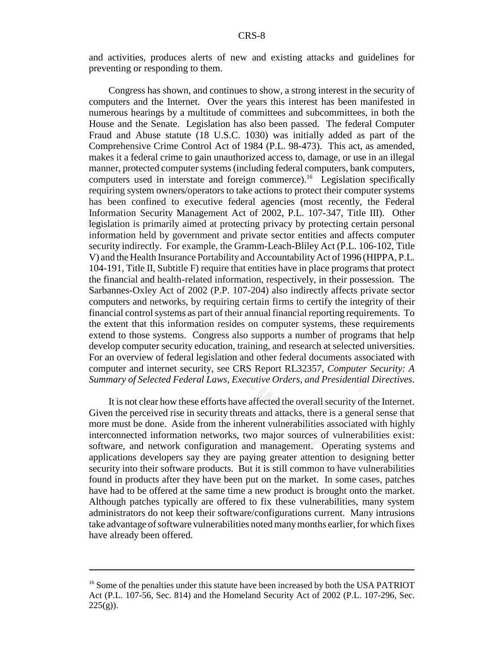and activities, produces alerts of new and existing attacks and guidelines for preventing or responding to them.

Congress has shown, and continues to show, a strong interest in the security of computers and the Internet. Over the years this interest has been manifested in numerous hearings by a multitude of committees and subcommittees, in both the House and the Senate. Legislation has also been passed. The federal Computer Fraud and Abuse statute (18 U.S.C. 1030) was initially added as part of the Comprehensive Crime Control Act of 1984 (P.L. 98-473). This act, as amended, makes it a federal crime to gain unauthorized access to, damage, or use in an illegal manner, protected computer systems (including federal computers, bank computers, computers used in interstate and foreign commerce).16 Legislation specifically requiring system owners/operators to take actions to protect their computer systems has been confined to executive federal agencies (most recently, the Federal Information Security Management Act of 2002, P.L. 107-347, Title III). Other legislation is primarily aimed at protecting privacy by protecting certain personal information held by government and private sector entities and affects computer security indirectly. For example, the Gramm-Leach-Bliley Act (P.L. 106-102, Title V) and the Health Insurance Portability and Accountability Act of 1996 (HIPPA, P.L. 104-191, Title II, Subtitle F) require that entities have in place programs that protect the financial and health-related information, respectively, in their possession. The Sarbannes-Oxley Act of 2002 (P.P. 107-204) also indirectly affects private sector computers and networks, by requiring certain firms to certify the integrity of their financial control systems as part of their annual financial reporting requirements. To the extent that this information resides on computer systems, these requirements extend to those systems. Congress also supports a number of programs that help develop computer security education, training, and research at selected universities. For an overview of federal legislation and other federal documents associated with computer and internet security, see CRS Report RL32357, *Computer Security: A Summary of Selected Federal Laws, Executive Orders, and Presidential Directives*.

It is not clear how these efforts have affected the overall security of the Internet. Given the perceived rise in security threats and attacks, there is a general sense that more must be done. Aside from the inherent vulnerabilities associated with highly interconnected information networks, two major sources of vulnerabilities exist: software, and network configuration and management. Operating systems and applications developers say they are paying greater attention to designing better security into their software products. But it is still common to have vulnerabilities found in products after they have been put on the market. In some cases, patches have had to be offered at the same time a new product is brought onto the market. Although patches typically are offered to fix these vulnerabilities, many system administrators do not keep their software/configurations current. Many intrusions take advantage of software vulnerabilities noted many months earlier, for which fixes have already been offered.

<sup>&</sup>lt;sup>16</sup> Some of the penalties under this statute have been increased by both the USA PATRIOT Act (P.L. 107-56, Sec. 814) and the Homeland Security Act of 2002 (P.L. 107-296, Sec.  $225(g)$ ).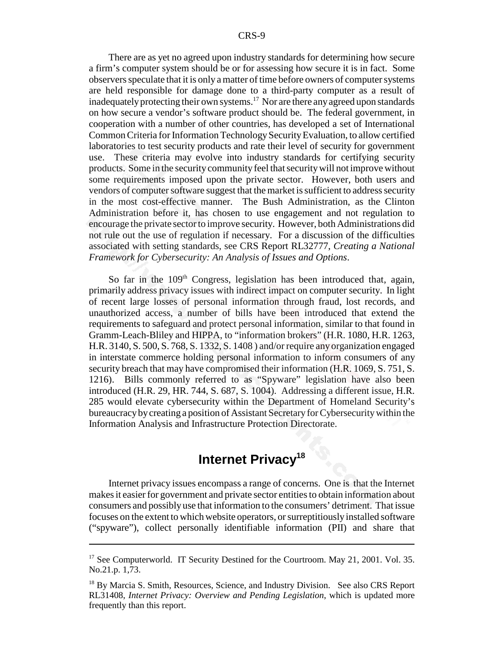There are as yet no agreed upon industry standards for determining how secure a firm's computer system should be or for assessing how secure it is in fact. Some observers speculate that it is only a matter of time before owners of computer systems are held responsible for damage done to a third-party computer as a result of inadequately protecting their own systems.<sup>17</sup> Nor are there any agreed upon standards on how secure a vendor's software product should be. The federal government, in cooperation with a number of other countries, has developed a set of International Common Criteria for Information Technology Security Evaluation, to allow certified laboratories to test security products and rate their level of security for government use. These criteria may evolve into industry standards for certifying security products. Some in the security community feel that security will not improve without some requirements imposed upon the private sector. However, both users and vendors of computer software suggest that the market is sufficient to address security in the most cost-effective manner. The Bush Administration, as the Clinton Administration before it, has chosen to use engagement and not regulation to encourage the private sector to improve security. However, both Administrations did not rule out the use of regulation if necessary. For a discussion of the difficulties associated with setting standards, see CRS Report RL32777, *Creating a National Framework for Cybersecurity: An Analysis of Issues and Options*.

So far in the  $109<sup>th</sup>$  Congress, legislation has been introduced that, again, primarily address privacy issues with indirect impact on computer security. In light of recent large losses of personal information through fraud, lost records, and unauthorized access, a number of bills have been introduced that extend the requirements to safeguard and protect personal information, similar to that found in Gramm-Leach-Bliley and HIPPA, to "information brokers" (H.R. 1080, H.R. 1263, H.R. 3140, S. 500, S. 768, S. 1332, S. 1408 ) and/or require any organization engaged in interstate commerce holding personal information to inform consumers of any security breach that may have compromised their information (H.R. 1069, S. 751, S. 1216). Bills commonly referred to as "Spyware" legislation have also been introduced (H.R. 29, HR. 744, S. 687, S. 1004). Addressing a different issue, H.R. 285 would elevate cybersecurity within the Department of Homeland Security's bureaucracy by creating a position of Assistant Secretary for Cybersecurity within the Information Analysis and Infrastructure Protection Directorate.

## **Internet Privacy<sup>18</sup>**

Internet privacy issues encompass a range of concerns. One is that the Internet makes it easier for government and private sector entities to obtain information about consumers and possibly use that information to the consumers' detriment. That issue focuses on the extent to which website operators, or surreptitiously installed software ("spyware"), collect personally identifiable information (PII) and share that

<sup>&</sup>lt;sup>17</sup> See Computerworld. IT Security Destined for the Courtroom. May 21, 2001. Vol. 35. No.21.p. 1,73.

<sup>&</sup>lt;sup>18</sup> By Marcia S. Smith, Resources, Science, and Industry Division. See also CRS Report RL31408, *Internet Privacy: Overview and Pending Legislation*, which is updated more frequently than this report.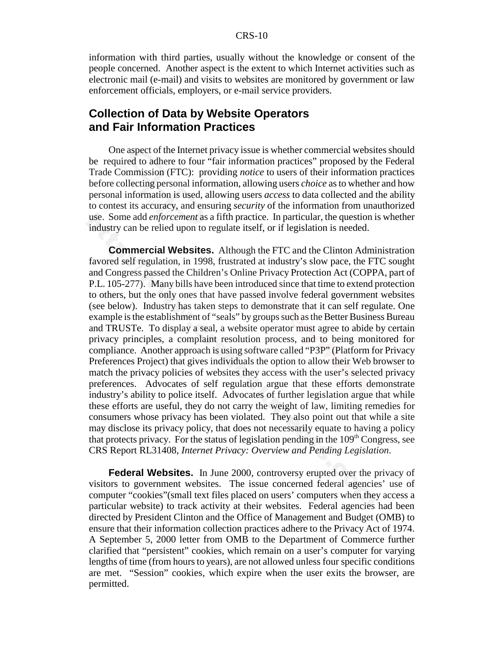#### CRS-10

information with third parties, usually without the knowledge or consent of the people concerned. Another aspect is the extent to which Internet activities such as electronic mail (e-mail) and visits to websites are monitored by government or law enforcement officials, employers, or e-mail service providers.

### **Collection of Data by Website Operators and Fair Information Practices**

One aspect of the Internet privacy issue is whether commercial websites should be required to adhere to four "fair information practices" proposed by the Federal Trade Commission (FTC): providing *notice* to users of their information practices before collecting personal information, allowing users *choice* as to whether and how personal information is used, allowing users *access* to data collected and the ability to contest its accuracy, and ensuring *security* of the information from unauthorized use. Some add *enforcement* as a fifth practice. In particular, the question is whether industry can be relied upon to regulate itself, or if legislation is needed.

**Commercial Websites.** Although the FTC and the Clinton Administration favored self regulation, in 1998, frustrated at industry's slow pace, the FTC sought and Congress passed the Children's Online Privacy Protection Act (COPPA, part of P.L. 105-277). Many bills have been introduced since that time to extend protection to others, but the only ones that have passed involve federal government websites (see below). Industry has taken steps to demonstrate that it can self regulate. One example is the establishment of "seals" by groups such as the Better Business Bureau and TRUSTe. To display a seal, a website operator must agree to abide by certain privacy principles, a complaint resolution process, and to being monitored for compliance. Another approach is using software called "P3P" (Platform for Privacy Preferences Project) that gives individuals the option to allow their Web browser to match the privacy policies of websites they access with the user's selected privacy preferences. Advocates of self regulation argue that these efforts demonstrate industry's ability to police itself. Advocates of further legislation argue that while these efforts are useful, they do not carry the weight of law, limiting remedies for consumers whose privacy has been violated. They also point out that while a site may disclose its privacy policy, that does not necessarily equate to having a policy that protects privacy. For the status of legislation pending in the  $109<sup>th</sup>$  Congress, see CRS Report RL31408, *Internet Privacy: Overview and Pending Legislation*.

**Federal Websites.** In June 2000, controversy erupted over the privacy of visitors to government websites. The issue concerned federal agencies' use of computer "cookies"(small text files placed on users' computers when they access a particular website) to track activity at their websites. Federal agencies had been directed by President Clinton and the Office of Management and Budget (OMB) to ensure that their information collection practices adhere to the Privacy Act of 1974. A September 5, 2000 letter from OMB to the Department of Commerce further clarified that "persistent" cookies, which remain on a user's computer for varying lengths of time (from hours to years), are not allowed unless four specific conditions are met. "Session" cookies, which expire when the user exits the browser, are permitted.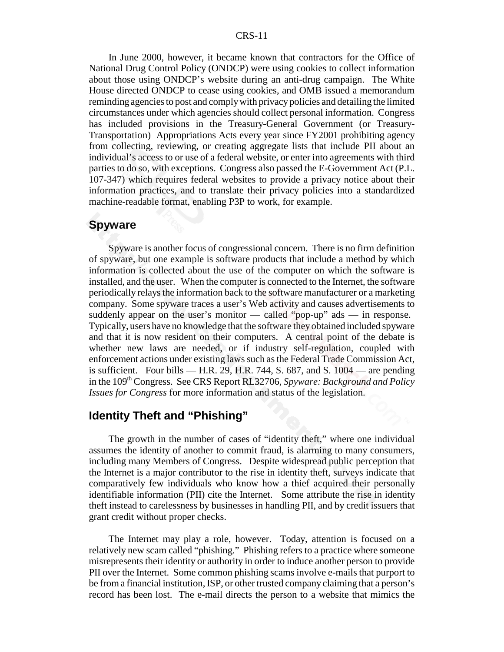#### CRS-11

In June 2000, however, it became known that contractors for the Office of National Drug Control Policy (ONDCP) were using cookies to collect information about those using ONDCP's website during an anti-drug campaign. The White House directed ONDCP to cease using cookies, and OMB issued a memorandum reminding agencies to post and comply with privacy policies and detailing the limited circumstances under which agencies should collect personal information. Congress has included provisions in the Treasury-General Government (or Treasury-Transportation) Appropriations Acts every year since FY2001 prohibiting agency from collecting, reviewing, or creating aggregate lists that include PII about an individual's access to or use of a federal website, or enter into agreements with third parties to do so, with exceptions. Congress also passed the E-Government Act (P.L. 107-347) which requires federal websites to provide a privacy notice about their information practices, and to translate their privacy policies into a standardized machine-readable format, enabling P3P to work, for example.

#### **Spyware**

Spyware is another focus of congressional concern. There is no firm definition of spyware, but one example is software products that include a method by which information is collected about the use of the computer on which the software is installed, and the user. When the computer is connected to the Internet, the software periodically relays the information back to the software manufacturer or a marketing company. Some spyware traces a user's Web activity and causes advertisements to suddenly appear on the user's monitor — called "pop-up" ads — in response. Typically, users have no knowledge that the software they obtained included spyware and that it is now resident on their computers. A central point of the debate is whether new laws are needed, or if industry self-regulation, coupled with enforcement actions under existing laws such as the Federal Trade Commission Act, is sufficient. Four bills  $-$  H.R. 29, H.R. 744, S. 687, and S. 1004  $-$  are pending in the 109<sup>th</sup> Congress. See CRS Report RL32706, *Spyware: Background and Policy Issues for Congress* for more information and status of the legislation.

### **Identity Theft and "Phishing"**

The growth in the number of cases of "identity theft," where one individual assumes the identity of another to commit fraud, is alarming to many consumers, including many Members of Congress. Despite widespread public perception that the Internet is a major contributor to the rise in identity theft, surveys indicate that comparatively few individuals who know how a thief acquired their personally identifiable information (PII) cite the Internet. Some attribute the rise in identity theft instead to carelessness by businesses in handling PII, and by credit issuers that grant credit without proper checks.

The Internet may play a role, however. Today, attention is focused on a relatively new scam called "phishing." Phishing refers to a practice where someone misrepresents their identity or authority in order to induce another person to provide PII over the Internet. Some common phishing scams involve e-mails that purport to be from a financial institution, ISP, or other trusted company claiming that a person's record has been lost. The e-mail directs the person to a website that mimics the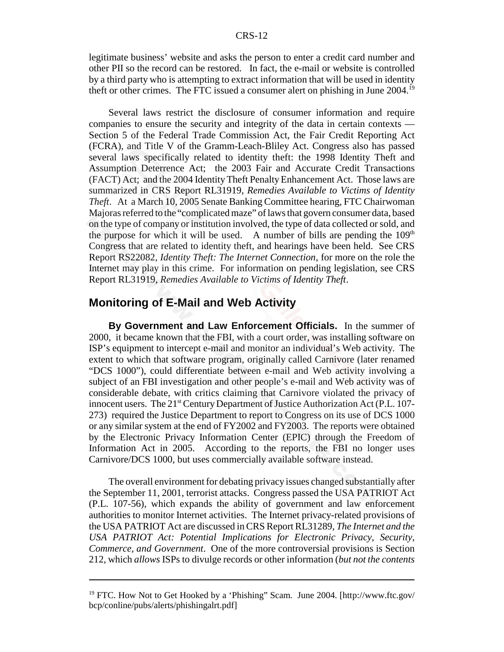legitimate business' website and asks the person to enter a credit card number and other PII so the record can be restored. In fact, the e-mail or website is controlled by a third party who is attempting to extract information that will be used in identity theft or other crimes. The FTC issued a consumer alert on phishing in June 2004.19

Several laws restrict the disclosure of consumer information and require companies to ensure the security and integrity of the data in certain contexts — Section 5 of the Federal Trade Commission Act, the Fair Credit Reporting Act (FCRA), and Title V of the Gramm-Leach-Bliley Act. Congress also has passed several laws specifically related to identity theft: the 1998 Identity Theft and Assumption Deterrence Act; the 2003 Fair and Accurate Credit Transactions (FACT) Act; and the 2004 Identity Theft Penalty Enhancement Act. Those laws are summarized in CRS Report RL31919, *Remedies Available to Victims of Identity Theft*. At a March 10, 2005 Senate Banking Committee hearing, FTC Chairwoman Majoras referred to the "complicated maze" of laws that govern consumer data, based on the type of company or institution involved, the type of data collected or sold, and the purpose for which it will be used. A number of bills are pending the  $109<sup>th</sup>$ Congress that are related to identity theft, and hearings have been held. See CRS Report RS22082, *Identity Theft: The Internet Connection*, for more on the role the Internet may play in this crime. For information on pending legislation, see CRS Report RL31919, *Remedies Available to Victims of Identity Theft*.

#### **Monitoring of E-Mail and Web Activity**

**By Government and Law Enforcement Officials.** In the summer of 2000, it became known that the FBI, with a court order, was installing software on ISP's equipment to intercept e-mail and monitor an individual's Web activity. The extent to which that software program, originally called Carnivore (later renamed "DCS 1000"), could differentiate between e-mail and Web activity involving a subject of an FBI investigation and other people's e-mail and Web activity was of considerable debate, with critics claiming that Carnivore violated the privacy of innocent users. The  $21<sup>st</sup>$  Century Department of Justice Authorization Act (P.L. 107-273) required the Justice Department to report to Congress on its use of DCS 1000 or any similar system at the end of FY2002 and FY2003. The reports were obtained by the Electronic Privacy Information Center (EPIC) through the Freedom of Information Act in 2005. According to the reports, the FBI no longer uses Carnivore/DCS 1000, but uses commercially available software instead.

The overall environment for debating privacy issues changed substantially after the September 11, 2001, terrorist attacks. Congress passed the USA PATRIOT Act (P.L. 107-56), which expands the ability of government and law enforcement authorities to monitor Internet activities. The Internet privacy-related provisions of the USA PATRIOT Act are discussed in CRS Report RL31289, *The Internet and the USA PATRIOT Act: Potential Implications for Electronic Privacy, Security, Commerce, and Government*. One of the more controversial provisions is Section 212, which *allows* ISPs to divulge records or other information (*but not the contents*

<sup>&</sup>lt;sup>19</sup> FTC. How Not to Get Hooked by a 'Phishing'' Scam. June 2004. [http://www.ftc.gov/ bcp/conline/pubs/alerts/phishingalrt.pdf]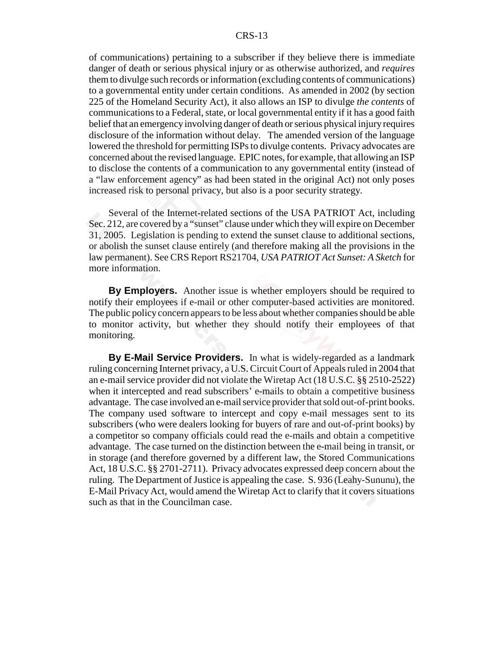#### CRS-13

of communications) pertaining to a subscriber if they believe there is immediate danger of death or serious physical injury or as otherwise authorized, and *requires* them to divulge such records or information (excluding contents of communications) to a governmental entity under certain conditions. As amended in 2002 (by section 225 of the Homeland Security Act), it also allows an ISP to divulge *the contents* of communications to a Federal, state, or local governmental entity if it has a good faith belief that an emergency involving danger of death or serious physical injury requires disclosure of the information without delay. The amended version of the language lowered the threshold for permitting ISPs to divulge contents. Privacy advocates are concerned about the revised language. EPIC notes, for example, that allowing an ISP to disclose the contents of a communication to any governmental entity (instead of a "law enforcement agency" as had been stated in the original Act) not only poses increased risk to personal privacy, but also is a poor security strategy.

Several of the Internet-related sections of the USA PATRIOT Act, including Sec. 212, are covered by a "sunset" clause under which they will expire on December 31, 2005. Legislation is pending to extend the sunset clause to additional sections, or abolish the sunset clause entirely (and therefore making all the provisions in the law permanent). See CRS Report RS21704, *USA PATRIOT Act Sunset: A Sketch* for more information.

**By Employers.** Another issue is whether employers should be required to notify their employees if e-mail or other computer-based activities are monitored. The public policy concern appears to be less about whether companies should be able to monitor activity, but whether they should notify their employees of that monitoring.

**By E-Mail Service Providers.** In what is widely-regarded as a landmark ruling concerning Internet privacy, a U.S. Circuit Court of Appeals ruled in 2004 that an e-mail service provider did not violate the Wiretap Act (18 U.S.C. §§ 2510-2522) when it intercepted and read subscribers' e-mails to obtain a competitive business advantage. The case involved an e-mail service provider that sold out-of-print books. The company used software to intercept and copy e-mail messages sent to its subscribers (who were dealers looking for buyers of rare and out-of-print books) by a competitor so company officials could read the e-mails and obtain a competitive advantage. The case turned on the distinction between the e-mail being in transit, or in storage (and therefore governed by a different law, the Stored Communications Act, 18 U.S.C. §§ 2701-2711). Privacy advocates expressed deep concern about the ruling. The Department of Justice is appealing the case. S. 936 (Leahy-Sununu), the E-Mail Privacy Act, would amend the Wiretap Act to clarify that it covers situations such as that in the Councilman case.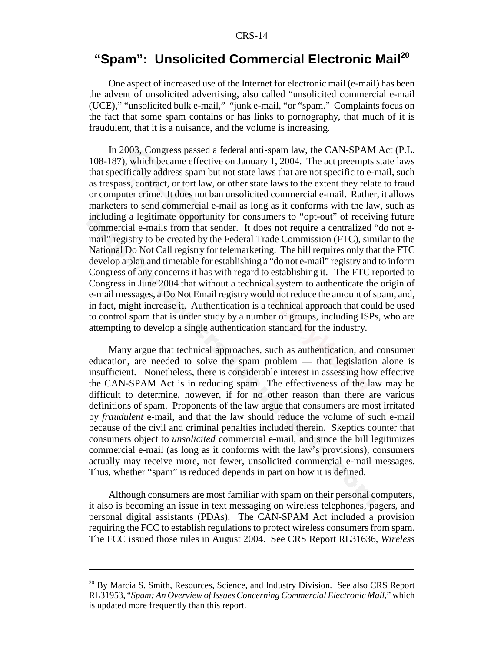## **"Spam": Unsolicited Commercial Electronic Mail<sup>20</sup>**

One aspect of increased use of the Internet for electronic mail (e-mail) has been the advent of unsolicited advertising, also called "unsolicited commercial e-mail (UCE)," "unsolicited bulk e-mail," "junk e-mail, "or "spam." Complaints focus on the fact that some spam contains or has links to pornography, that much of it is fraudulent, that it is a nuisance, and the volume is increasing.

In 2003, Congress passed a federal anti-spam law, the CAN-SPAM Act (P.L. 108-187), which became effective on January 1, 2004. The act preempts state laws that specifically address spam but not state laws that are not specific to e-mail, such as trespass, contract, or tort law, or other state laws to the extent they relate to fraud or computer crime. It does not ban unsolicited commercial e-mail. Rather, it allows marketers to send commercial e-mail as long as it conforms with the law, such as including a legitimate opportunity for consumers to "opt-out" of receiving future commercial e-mails from that sender. It does not require a centralized "do not email" registry to be created by the Federal Trade Commission (FTC), similar to the National Do Not Call registry for telemarketing. The bill requires only that the FTC develop a plan and timetable for establishing a "do not e-mail" registry and to inform Congress of any concerns it has with regard to establishing it. The FTC reported to Congress in June 2004 that without a technical system to authenticate the origin of e-mail messages, a Do Not Email registry would not reduce the amount of spam, and, in fact, might increase it. Authentication is a technical approach that could be used to control spam that is under study by a number of groups, including ISPs, who are attempting to develop a single authentication standard for the industry.

Many argue that technical approaches, such as authentication, and consumer education, are needed to solve the spam problem — that legislation alone is insufficient. Nonetheless, there is considerable interest in assessing how effective the CAN-SPAM Act is in reducing spam. The effectiveness of the law may be difficult to determine, however, if for no other reason than there are various definitions of spam. Proponents of the law argue that consumers are most irritated by *fraudulent* e-mail, and that the law should reduce the volume of such e-mail because of the civil and criminal penalties included therein. Skeptics counter that consumers object to *unsolicited* commercial e-mail, and since the bill legitimizes commercial e-mail (as long as it conforms with the law's provisions), consumers actually may receive more, not fewer, unsolicited commercial e-mail messages. Thus, whether "spam" is reduced depends in part on how it is defined.

Although consumers are most familiar with spam on their personal computers, it also is becoming an issue in text messaging on wireless telephones, pagers, and personal digital assistants (PDAs). The CAN-SPAM Act included a provision requiring the FCC to establish regulations to protect wireless consumers from spam. The FCC issued those rules in August 2004. See CRS Report RL31636, *Wireless*

<sup>&</sup>lt;sup>20</sup> By Marcia S. Smith, Resources, Science, and Industry Division. See also CRS Report RL31953, "*Spam: An Overview of Issues Concerning Commercial Electronic Mail*," which is updated more frequently than this report.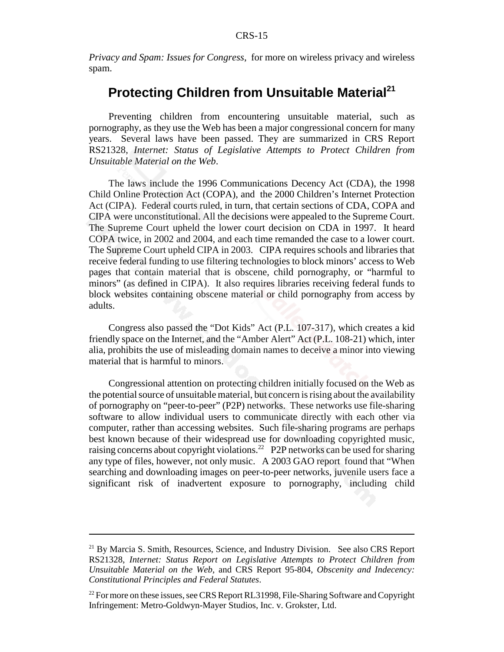*Privacy and Spam: Issues for Congress*, for more on wireless privacy and wireless spam.

## **Protecting Children from Unsuitable Material<sup>21</sup>**

Preventing children from encountering unsuitable material, such as pornography, as they use the Web has been a major congressional concern for many years. Several laws have been passed. They are summarized in CRS Report RS21328, *Internet: Status of Legislative Attempts to Protect Children from Unsuitable Material on the Web*.

The laws include the 1996 Communications Decency Act (CDA), the 1998 Child Online Protection Act (COPA), and the 2000 Children's Internet Protection Act (CIPA). Federal courts ruled, in turn, that certain sections of CDA, COPA and CIPA were unconstitutional. All the decisions were appealed to the Supreme Court. The Supreme Court upheld the lower court decision on CDA in 1997. It heard COPA twice, in 2002 and 2004, and each time remanded the case to a lower court. The Supreme Court upheld CIPA in 2003. CIPA requires schools and libraries that receive federal funding to use filtering technologies to block minors' access to Web pages that contain material that is obscene, child pornography, or "harmful to minors" (as defined in CIPA). It also requires libraries receiving federal funds to block websites containing obscene material or child pornography from access by adults.

Congress also passed the "Dot Kids" Act (P.L. 107-317), which creates a kid friendly space on the Internet, and the "Amber Alert" Act (P.L. 108-21) which, inter alia, prohibits the use of misleading domain names to deceive a minor into viewing material that is harmful to minors.

Congressional attention on protecting children initially focused on the Web as the potential source of unsuitable material, but concern is rising about the availability of pornography on "peer-to-peer" (P2P) networks. These networks use file-sharing software to allow individual users to communicate directly with each other via computer, rather than accessing websites. Such file-sharing programs are perhaps best known because of their widespread use for downloading copyrighted music, raising concerns about copyright violations.22 P2P networks can be used for sharing any type of files, however, not only music. A 2003 GAO report found that "When searching and downloading images on peer-to-peer networks, juvenile users face a significant risk of inadvertent exposure to pornography, including child

 $21$  By Marcia S. Smith, Resources, Science, and Industry Division. See also CRS Report RS21328, *Internet: Status Report on Legislative Attempts to Protect Children from Unsuitable Material on the Web*, and CRS Report 95-804, *Obscenity and Indecency: Constitutional Principles and Federal Statutes*.

 $22$  For more on these issues, see CRS Report RL31998, File-Sharing Software and Copyright Infringement: Metro-Goldwyn-Mayer Studios, Inc. v. Grokster, Ltd.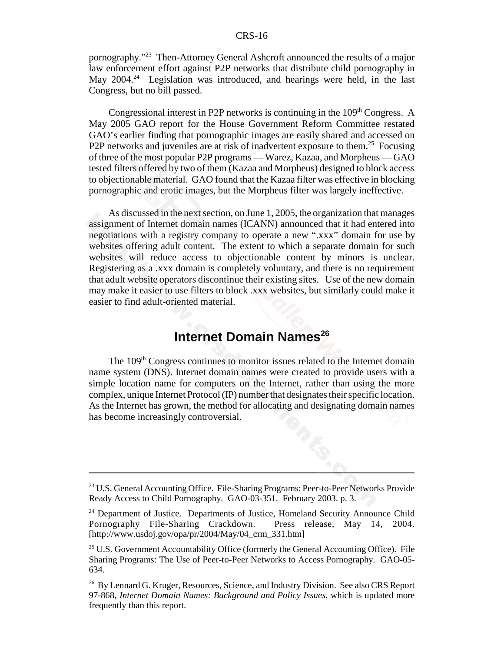pornography."23 Then-Attorney General Ashcroft announced the results of a major law enforcement effort against P2P networks that distribute child pornography in May  $2004<sup>24</sup>$  Legislation was introduced, and hearings were held, in the last Congress, but no bill passed.

Congressional interest in P2P networks is continuing in the  $109<sup>th</sup>$  Congress. A May 2005 GAO report for the House Government Reform Committee restated GAO's earlier finding that pornographic images are easily shared and accessed on P2P networks and juveniles are at risk of inadvertent exposure to them.<sup>25</sup> Focusing of three of the most popular P2P programs — Warez, Kazaa, and Morpheus — GAO tested filters offered by two of them (Kazaa and Morpheus) designed to block access to objectionable material. GAO found that the Kazaa filter was effective in blocking pornographic and erotic images, but the Morpheus filter was largely ineffective.

As discussed in the next section, on June 1, 2005, the organization that manages assignment of Internet domain names (ICANN) announced that it had entered into negotiations with a registry company to operate a new ".xxx" domain for use by websites offering adult content. The extent to which a separate domain for such websites will reduce access to objectionable content by minors is unclear. Registering as a .xxx domain is completely voluntary, and there is no requirement that adult website operators discontinue their existing sites. Use of the new domain may make it easier to use filters to block .xxx websites, but similarly could make it easier to find adult-oriented material.

## **Internet Domain Names<sup>26</sup>**

The 109<sup>th</sup> Congress continues to monitor issues related to the Internet domain name system (DNS). Internet domain names were created to provide users with a simple location name for computers on the Internet, rather than using the more complex, unique Internet Protocol (IP) number that designates their specific location. As the Internet has grown, the method for allocating and designating domain names has become increasingly controversial.

<sup>&</sup>lt;sup>23</sup> U.S. General Accounting Office. File-Sharing Programs: Peer-to-Peer Networks Provide Ready Access to Child Pornography. GAO-03-351. February 2003. p. 3.

<sup>&</sup>lt;sup>24</sup> Department of Justice. Departments of Justice, Homeland Security Announce Child Pornography File-Sharing Crackdown. Press release, May 14, 2004. [http://www.usdoj.gov/opa/pr/2004/May/04\_crm\_331.htm]

 $25$  U.S. Government Accountability Office (formerly the General Accounting Office). File Sharing Programs: The Use of Peer-to-Peer Networks to Access Pornography. GAO-05- 634.

<sup>&</sup>lt;sup>26</sup> By Lennard G. Kruger, Resources, Science, and Industry Division. See also CRS Report 97-868, *Internet Domain Names: Background and Policy Issues*, which is updated more frequently than this report.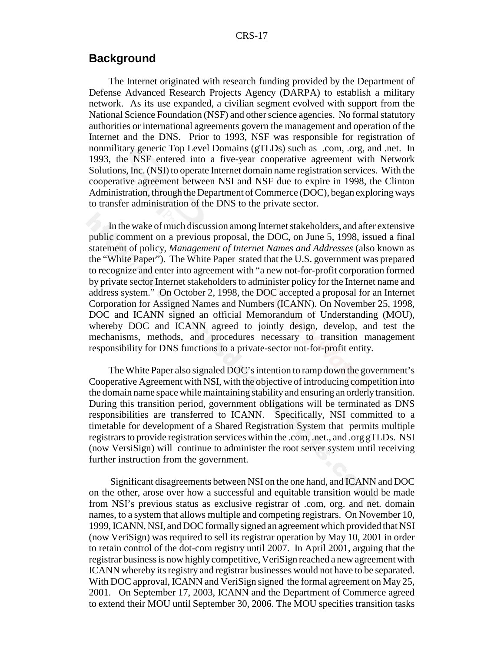### **Background**

The Internet originated with research funding provided by the Department of Defense Advanced Research Projects Agency (DARPA) to establish a military network. As its use expanded, a civilian segment evolved with support from the National Science Foundation (NSF) and other science agencies. No formal statutory authorities or international agreements govern the management and operation of the Internet and the DNS. Prior to 1993, NSF was responsible for registration of nonmilitary generic Top Level Domains (gTLDs) such as .com, .org, and .net. In 1993, the NSF entered into a five-year cooperative agreement with Network Solutions, Inc. (NSI) to operate Internet domain name registration services. With the cooperative agreement between NSI and NSF due to expire in 1998, the Clinton Administration, through the Department of Commerce (DOC), began exploring ways to transfer administration of the DNS to the private sector.

In the wake of much discussion among Internet stakeholders, and after extensive public comment on a previous proposal, the DOC, on June 5, 1998, issued a final statement of policy, *Management of Internet Names and Addresses* (also known as the "White Paper"). The White Paper stated that the U.S. government was prepared to recognize and enter into agreement with "a new not-for-profit corporation formed by private sector Internet stakeholders to administer policy for the Internet name and address system." On October 2, 1998, the DOC accepted a proposal for an Internet Corporation for Assigned Names and Numbers (ICANN). On November 25, 1998, DOC and ICANN signed an official Memorandum of Understanding (MOU), whereby DOC and ICANN agreed to jointly design, develop, and test the mechanisms, methods, and procedures necessary to transition management responsibility for DNS functions to a private-sector not-for-profit entity.

The White Paper also signaled DOC's intention to ramp down the government's Cooperative Agreement with NSI, with the objective of introducing competition into the domain name space while maintaining stability and ensuring an orderly transition. During this transition period, government obligations will be terminated as DNS responsibilities are transferred to ICANN. Specifically, NSI committed to a timetable for development of a Shared Registration System that permits multiple registrars to provide registration services within the .com, .net., and .org gTLDs. NSI (now VersiSign) will continue to administer the root server system until receiving further instruction from the government.

 Significant disagreements between NSI on the one hand, and ICANN and DOC on the other, arose over how a successful and equitable transition would be made from NSI's previous status as exclusive registrar of .com, org. and net. domain names, to a system that allows multiple and competing registrars. On November 10, 1999, ICANN, NSI, and DOC formally signed an agreement which provided that NSI (now VeriSign) was required to sell its registrar operation by May 10, 2001 in order to retain control of the dot-com registry until 2007. In April 2001, arguing that the registrar business is now highly competitive, VeriSign reached a new agreement with ICANN whereby its registry and registrar businesses would not have to be separated. With DOC approval, ICANN and VeriSign signed the formal agreement on May 25, 2001. On September 17, 2003, ICANN and the Department of Commerce agreed to extend their MOU until September 30, 2006. The MOU specifies transition tasks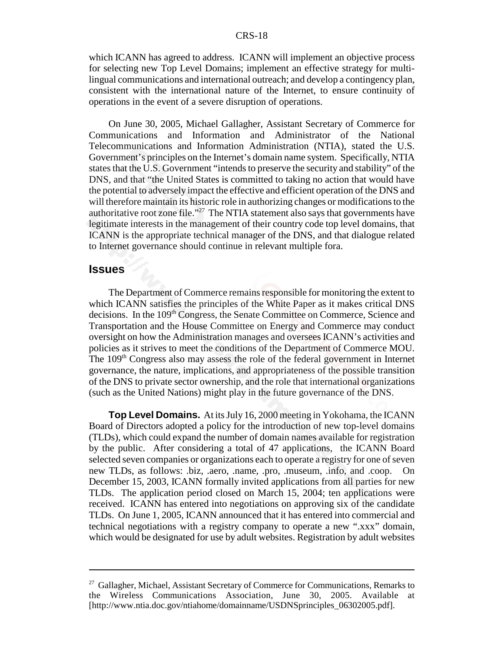which ICANN has agreed to address. ICANN will implement an objective process for selecting new Top Level Domains; implement an effective strategy for multilingual communications and international outreach; and develop a contingency plan, consistent with the international nature of the Internet, to ensure continuity of operations in the event of a severe disruption of operations.

On June 30, 2005, Michael Gallagher, Assistant Secretary of Commerce for Communications and Information and Administrator of the National Telecommunications and Information Administration (NTIA), stated the U.S. Government's principles on the Internet's domain name system. Specifically, NTIA states that the U.S. Government "intends to preserve the security and stability" of the DNS, and that "the United States is committed to taking no action that would have the potential to adversely impact the effective and efficient operation of the DNS and will therefore maintain its historic role in authorizing changes or modifications to the authoritative root zone file."<sup>27</sup> The NTIA statement also says that governments have legitimate interests in the management of their country code top level domains, that ICANN is the appropriate technical manager of the DNS, and that dialogue related to Internet governance should continue in relevant multiple fora.

#### **Issues**

The Department of Commerce remains responsible for monitoring the extent to which ICANN satisfies the principles of the White Paper as it makes critical DNS decisions. In the 109<sup>th</sup> Congress, the Senate Committee on Commerce, Science and Transportation and the House Committee on Energy and Commerce may conduct oversight on how the Administration manages and oversees ICANN's activities and policies as it strives to meet the conditions of the Department of Commerce MOU. The  $109<sup>th</sup>$  Congress also may assess the role of the federal government in Internet governance, the nature, implications, and appropriateness of the possible transition of the DNS to private sector ownership, and the role that international organizations (such as the United Nations) might play in the future governance of the DNS.

**Top Level Domains.** At its July 16, 2000 meeting in Yokohama, the ICANN Board of Directors adopted a policy for the introduction of new top-level domains (TLDs), which could expand the number of domain names available for registration by the public. After considering a total of 47 applications, the ICANN Board selected seven companies or organizations each to operate a registry for one of seven new TLDs, as follows: .biz, .aero, .name, .pro, .museum, .info, and .coop. On December 15, 2003, ICANN formally invited applications from all parties for new TLDs. The application period closed on March 15, 2004; ten applications were received. ICANN has entered into negotiations on approving six of the candidate TLDs. On June 1, 2005, ICANN announced that it has entered into commercial and technical negotiations with a registry company to operate a new ".xxx" domain, which would be designated for use by adult websites. Registration by adult websites

<sup>&</sup>lt;sup>27</sup> Gallagher, Michael, Assistant Secretary of Commerce for Communications, Remarks to the Wireless Communications Association, June 30, 2005. Available at [http://www.ntia.doc.gov/ntiahome/domainname/USDNSprinciples\_06302005.pdf].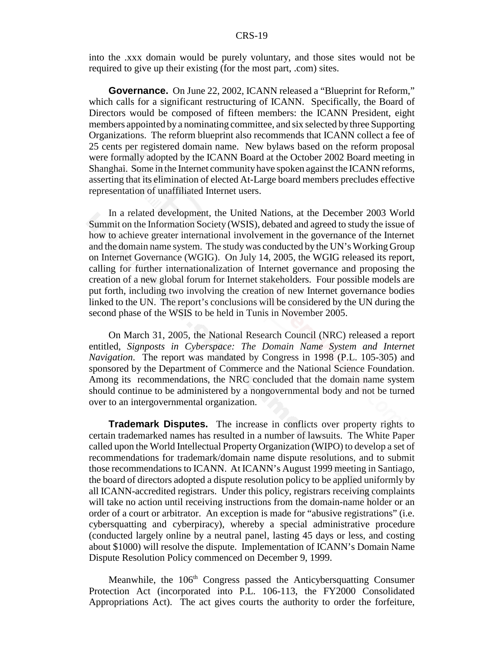#### CRS-19

into the .xxx domain would be purely voluntary, and those sites would not be required to give up their existing (for the most part, .com) sites.

**Governance.** On June 22, 2002, ICANN released a "Blueprint for Reform," which calls for a significant restructuring of ICANN. Specifically, the Board of Directors would be composed of fifteen members: the ICANN President, eight members appointed by a nominating committee, and six selected by three Supporting Organizations. The reform blueprint also recommends that ICANN collect a fee of 25 cents per registered domain name. New bylaws based on the reform proposal were formally adopted by the ICANN Board at the October 2002 Board meeting in Shanghai. Some in the Internet community have spoken against the ICANN reforms, asserting that its elimination of elected At-Large board members precludes effective representation of unaffiliated Internet users.

In a related development, the United Nations, at the December 2003 World Summit on the Information Society (WSIS), debated and agreed to study the issue of how to achieve greater international involvement in the governance of the Internet and the domain name system. The study was conducted by the UN's Working Group on Internet Governance (WGIG). On July 14, 2005, the WGIG released its report, calling for further internationalization of Internet governance and proposing the creation of a new global forum for Internet stakeholders. Four possible models are put forth, including two involving the creation of new Internet governance bodies linked to the UN. The report's conclusions will be considered by the UN during the second phase of the WSIS to be held in Tunis in November 2005.

On March 31, 2005, the National Research Council (NRC) released a report entitled, *Signposts in Cyberspace: The Domain Name System and Internet Navigation*. The report was mandated by Congress in 1998 (P.L. 105-305) and sponsored by the Department of Commerce and the National Science Foundation. Among its recommendations, the NRC concluded that the domain name system should continue to be administered by a nongovernmental body and not be turned over to an intergovernmental organization.

**Trademark Disputes.** The increase in conflicts over property rights to certain trademarked names has resulted in a number of lawsuits. The White Paper called upon the World Intellectual Property Organization (WIPO) to develop a set of recommendations for trademark/domain name dispute resolutions, and to submit those recommendations to ICANN. At ICANN's August 1999 meeting in Santiago, the board of directors adopted a dispute resolution policy to be applied uniformly by all ICANN-accredited registrars. Under this policy, registrars receiving complaints will take no action until receiving instructions from the domain-name holder or an order of a court or arbitrator. An exception is made for "abusive registrations" (i.e. cybersquatting and cyberpiracy), whereby a special administrative procedure (conducted largely online by a neutral panel, lasting 45 days or less, and costing about \$1000) will resolve the dispute. Implementation of ICANN's Domain Name Dispute Resolution Policy commenced on December 9, 1999.

Meanwhile, the 106<sup>th</sup> Congress passed the Anticybersquatting Consumer Protection Act (incorporated into P.L. 106-113, the FY2000 Consolidated Appropriations Act). The act gives courts the authority to order the forfeiture,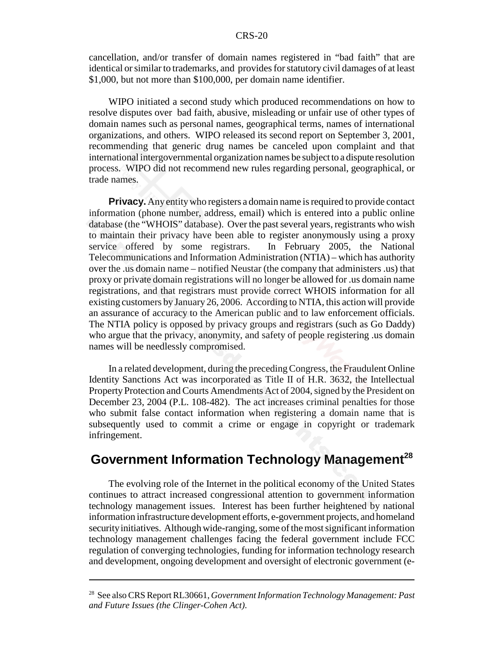cancellation, and/or transfer of domain names registered in "bad faith" that are identical or similar to trademarks, and provides for statutory civil damages of at least \$1,000, but not more than \$100,000, per domain name identifier.

WIPO initiated a second study which produced recommendations on how to resolve disputes over bad faith, abusive, misleading or unfair use of other types of domain names such as personal names, geographical terms, names of international organizations, and others. WIPO released its second report on September 3, 2001, recommending that generic drug names be canceled upon complaint and that international intergovernmental organization names be subject to a dispute resolution process. WIPO did not recommend new rules regarding personal, geographical, or trade names.

**Privacy.** Any entity who registers a domain name is required to provide contact information (phone number, address, email) which is entered into a public online database (the "WHOIS" database). Over the past several years, registrants who wish to maintain their privacy have been able to register anonymously using a proxy service offered by some registrars. In February 2005, the National Telecommunications and Information Administration (NTIA) – which has authority over the .us domain name – notified Neustar (the company that administers .us) that proxy or private domain registrations will no longer be allowed for .us domain name registrations, and that registrars must provide correct WHOIS information for all existing customers by January 26, 2006. According to NTIA, this action will provide an assurance of accuracy to the American public and to law enforcement officials. The NTIA policy is opposed by privacy groups and registrars (such as Go Daddy) who argue that the privacy, anonymity, and safety of people registering .us domain names will be needlessly compromised.

In a related development, during the preceding Congress, the Fraudulent Online Identity Sanctions Act was incorporated as Title II of H.R. 3632, the Intellectual Property Protection and Courts Amendments Act of 2004, signed by the President on December 23, 2004 (P.L. 108-482). The act increases criminal penalties for those who submit false contact information when registering a domain name that is subsequently used to commit a crime or engage in copyright or trademark infringement.

## **Government Information Technology Management<sup>28</sup>**

The evolving role of the Internet in the political economy of the United States continues to attract increased congressional attention to government information technology management issues. Interest has been further heightened by national information infrastructure development efforts, e-government projects, and homeland security initiatives. Although wide-ranging, some of the most significant information technology management challenges facing the federal government include FCC regulation of converging technologies, funding for information technology research and development, ongoing development and oversight of electronic government (e-

<sup>28</sup> See also CRS Report RL30661, *Government Information Technology Management: Past and Future Issues (the Clinger-Cohen Act)*.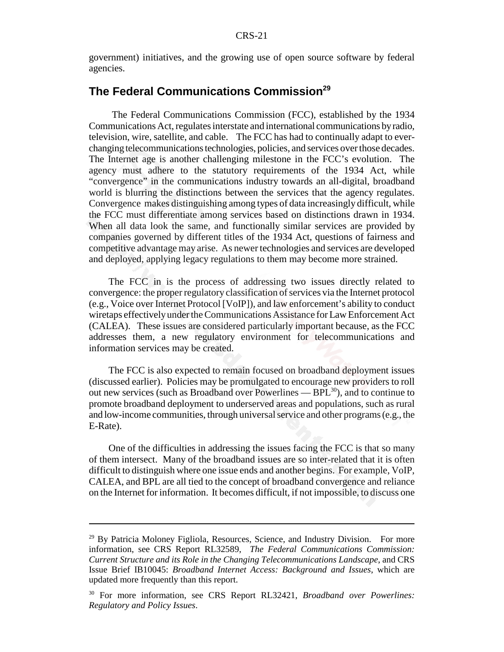government) initiatives, and the growing use of open source software by federal agencies.

## **The Federal Communications Commission<sup>29</sup>**

 The Federal Communications Commission (FCC), established by the 1934 Communications Act, regulates interstate and international communications by radio, television, wire, satellite, and cable. The FCC has had to continually adapt to everchanging telecommunications technologies, policies, and services over those decades. The Internet age is another challenging milestone in the FCC's evolution. The agency must adhere to the statutory requirements of the 1934 Act, while "convergence" in the communications industry towards an all-digital, broadband world is blurring the distinctions between the services that the agency regulates. Convergence makes distinguishing among types of data increasingly difficult, while the FCC must differentiate among services based on distinctions drawn in 1934. When all data look the same, and functionally similar services are provided by companies governed by different titles of the 1934 Act, questions of fairness and competitive advantage may arise. As newer technologies and services are developed and deployed, applying legacy regulations to them may become more strained.

The FCC in is the process of addressing two issues directly related to convergence: the proper regulatory classification of services via the Internet protocol (e.g., Voice over Internet Protocol [VoIP]), and law enforcement's ability to conduct wiretaps effectively under the Communications Assistance for Law Enforcement Act (CALEA). These issues are considered particularly important because, as the FCC addresses them, a new regulatory environment for telecommunications and information services may be created.

The FCC is also expected to remain focused on broadband deployment issues (discussed earlier). Policies may be promulgated to encourage new providers to roll out new services (such as Broadband over Powerlines —  $BPL^{30}$ ), and to continue to promote broadband deployment to underserved areas and populations, such as rural and low-income communities, through universal service and other programs (e.g., the E-Rate).

One of the difficulties in addressing the issues facing the FCC is that so many of them intersect. Many of the broadband issues are so inter-related that it is often difficult to distinguish where one issue ends and another begins. For example, VoIP, CALEA, and BPL are all tied to the concept of broadband convergence and reliance on the Internet for information. It becomes difficult, if not impossible, to discuss one

<sup>&</sup>lt;sup>29</sup> By Patricia Moloney Figliola, Resources, Science, and Industry Division. For more information, see CRS Report RL32589, *The Federal Communications Commission: Current Structure and its Role in the Changing Telecommunications Landscape*, and CRS Issue Brief IB10045: *Broadband Internet Access: Background and Issues*, which are updated more frequently than this report.

<sup>30</sup> For more information, see CRS Report RL32421, *Broadband over Powerlines: Regulatory and Policy Issues*.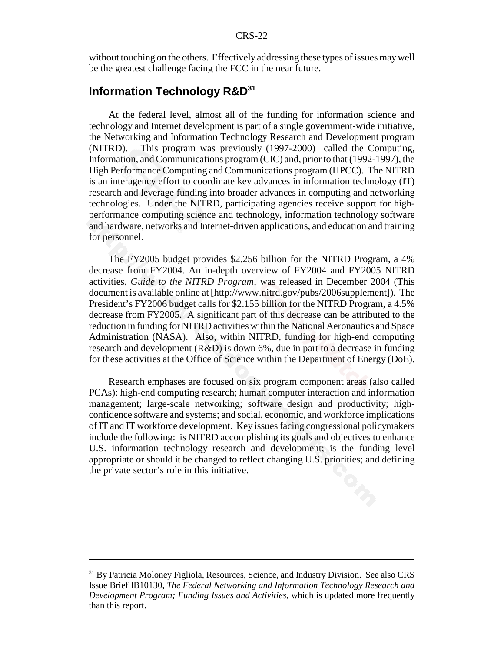without touching on the others. Effectively addressing these types of issues may well be the greatest challenge facing the FCC in the near future.

## **Information Technology R&D<sup>31</sup>**

At the federal level, almost all of the funding for information science and technology and Internet development is part of a single government-wide initiative, the Networking and Information Technology Research and Development program (NITRD). This program was previously (1997-2000) called the Computing, Information, and Communications program (CIC) and, prior to that (1992-1997), the High Performance Computing and Communications program (HPCC). The NITRD is an interagency effort to coordinate key advances in information technology (IT) research and leverage funding into broader advances in computing and networking technologies. Under the NITRD, participating agencies receive support for highperformance computing science and technology, information technology software and hardware, networks and Internet-driven applications, and education and training for personnel.

The FY2005 budget provides \$2.256 billion for the NITRD Program, a 4% decrease from FY2004. An in-depth overview of FY2004 and FY2005 NITRD activities, *Guide to the NITRD Program*, was released in December 2004 (This document is available online at [http://www.nitrd.gov/pubs/2006supplement]). The President's FY2006 budget calls for \$2.155 billion for the NITRD Program, a 4.5% decrease from FY2005. A significant part of this decrease can be attributed to the reduction in funding for NITRD activities within the National Aeronautics and Space Administration (NASA). Also, within NITRD, funding for high-end computing research and development (R&D) is down 6%, due in part to a decrease in funding for these activities at the Office of Science within the Department of Energy (DoE).

Research emphases are focused on six program component areas (also called PCAs): high-end computing research; human computer interaction and information management; large-scale networking; software design and productivity; highconfidence software and systems; and social, economic, and workforce implications of IT and IT workforce development. Key issues facing congressional policymakers include the following: is NITRD accomplishing its goals and objectives to enhance U.S. information technology research and development; is the funding level appropriate or should it be changed to reflect changing U.S. priorities; and defining the private sector's role in this initiative.

<sup>&</sup>lt;sup>31</sup> By Patricia Moloney Figliola, Resources, Science, and Industry Division. See also CRS Issue Brief IB10130, *The Federal Networking and Information Technology Research and Development Program; Funding Issues and Activities*, which is updated more frequently than this report.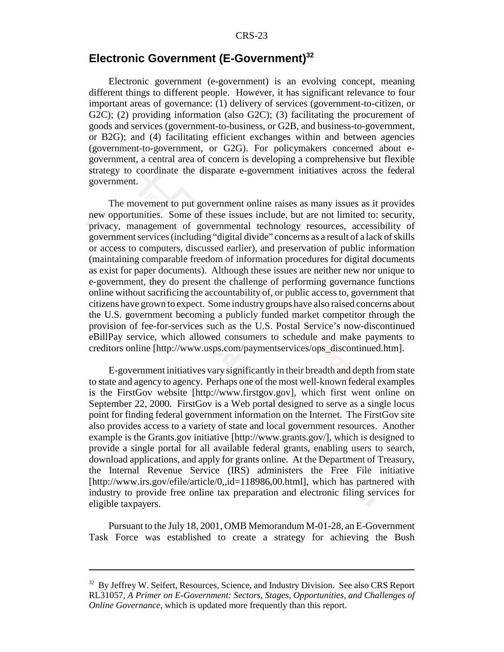## **Electronic Government (E-Government)32**

Electronic government (e-government) is an evolving concept, meaning different things to different people. However, it has significant relevance to four important areas of governance: (1) delivery of services (government-to-citizen, or G2C); (2) providing information (also G2C); (3) facilitating the procurement of goods and services (government-to-business, or G2B, and business-to-government, or B2G); and (4) facilitating efficient exchanges within and between agencies (government-to-government, or G2G). For policymakers concerned about egovernment, a central area of concern is developing a comprehensive but flexible strategy to coordinate the disparate e-government initiatives across the federal government.

The movement to put government online raises as many issues as it provides new opportunities. Some of these issues include, but are not limited to: security, privacy, management of governmental technology resources, accessibility of government services (including "digital divide" concerns as a result of a lack of skills or access to computers, discussed earlier), and preservation of public information (maintaining comparable freedom of information procedures for digital documents as exist for paper documents). Although these issues are neither new nor unique to e-government, they do present the challenge of performing governance functions online without sacrificing the accountability of, or public access to, government that citizens have grown to expect. Some industry groups have also raised concerns about the U.S. government becoming a publicly funded market competitor through the provision of fee-for-services such as the U.S. Postal Service's now-discontinued eBillPay service, which allowed consumers to schedule and make payments to creditors online [http://www.usps.com/paymentservices/ops\_discontinued.htm].

E-government initiatives vary significantly in their breadth and depth from state to state and agency to agency. Perhaps one of the most well-known federal examples is the FirstGov website [http://www.firstgov.gov], which first went online on September 22, 2000. FirstGov is a Web portal designed to serve as a single locus point for finding federal government information on the Internet. The FirstGov site also provides access to a variety of state and local government resources. Another example is the Grants.gov initiative [http://www.grants.gov/], which is designed to provide a single portal for all available federal grants, enabling users to search, download applications, and apply for grants online. At the Department of Treasury, the Internal Revenue Service (IRS) administers the Free File initiative [http://www.irs.gov/efile/article/0,,id=118986,00.html], which has partnered with industry to provide free online tax preparation and electronic filing services for eligible taxpayers.

Pursuant to the July 18, 2001, OMB Memorandum M-01-28, an E-Government Task Force was established to create a strategy for achieving the Bush

<sup>&</sup>lt;sup>32</sup> By Jeffrey W. Seifert, Resources, Science, and Industry Division. See also CRS Report RL31057, *A Primer on E-Government: Sectors, Stages, Opportunities, and Challenges of Online Governance*, which is updated more frequently than this report.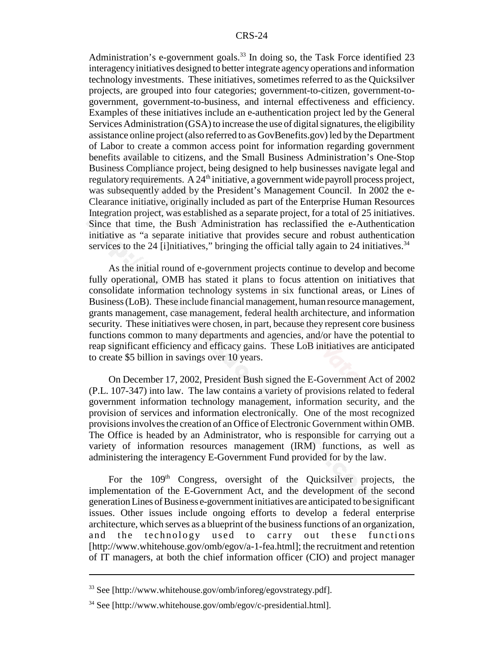Administration's e-government goals.<sup>33</sup> In doing so, the Task Force identified 23 interagency initiatives designed to better integrate agency operations and information technology investments. These initiatives, sometimes referred to as the Quicksilver projects, are grouped into four categories; government-to-citizen, government-togovernment, government-to-business, and internal effectiveness and efficiency. Examples of these initiatives include an e-authentication project led by the General Services Administration (GSA) to increase the use of digital signatures, the eligibility assistance online project (also referred to as GovBenefits.gov) led by the Department of Labor to create a common access point for information regarding government benefits available to citizens, and the Small Business Administration's One-Stop Business Compliance project, being designed to help businesses navigate legal and regulatory requirements. A  $24<sup>th</sup>$  initiative, a government wide payroll process project, was subsequently added by the President's Management Council. In 2002 the e-Clearance initiative, originally included as part of the Enterprise Human Resources Integration project, was established as a separate project, for a total of 25 initiatives. Since that time, the Bush Administration has reclassified the e-Authentication initiative as "a separate initiative that provides secure and robust authentication services to the 24 [i]nitiatives," bringing the official tally again to 24 initiatives. $34$ 

As the initial round of e-government projects continue to develop and become fully operational, OMB has stated it plans to focus attention on initiatives that consolidate information technology systems in six functional areas, or Lines of Business (LoB). These include financial management, human resource management, grants management, case management, federal health architecture, and information security. These initiatives were chosen, in part, because they represent core business functions common to many departments and agencies, and/or have the potential to reap significant efficiency and efficacy gains. These LoB initiatives are anticipated to create \$5 billion in savings over 10 years.

 On December 17, 2002, President Bush signed the E-Government Act of 2002 (P.L. 107-347) into law. The law contains a variety of provisions related to federal government information technology management, information security, and the provision of services and information electronically. One of the most recognized provisions involves the creation of an Office of Electronic Government within OMB. The Office is headed by an Administrator, who is responsible for carrying out a variety of information resources management (IRM) functions, as well as administering the interagency E-Government Fund provided for by the law.

For the  $109<sup>th</sup>$  Congress, oversight of the Quicksilver projects, the implementation of the E-Government Act, and the development of the second generation Lines of Business e-government initiatives are anticipated to be significant issues. Other issues include ongoing efforts to develop a federal enterprise architecture, which serves as a blueprint of the business functions of an organization, and the technology used to carry out these functions [http://www.whitehouse.gov/omb/egov/a-1-fea.html]; the recruitment and retention of IT managers, at both the chief information officer (CIO) and project manager

<sup>33</sup> See [http://www.whitehouse.gov/omb/inforeg/egovstrategy.pdf].

 $34$  See [http://www.whitehouse.gov/omb/egov/c-presidential.html].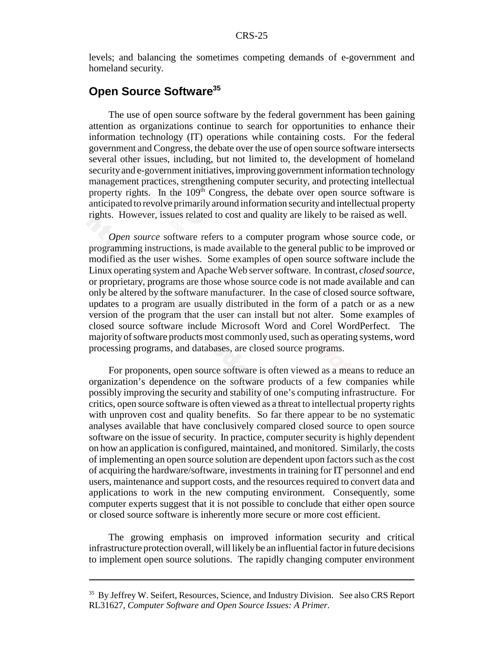levels; and balancing the sometimes competing demands of e-government and homeland security.

### **Open Source Software35**

The use of open source software by the federal government has been gaining attention as organizations continue to search for opportunities to enhance their information technology (IT) operations while containing costs. For the federal government and Congress, the debate over the use of open source software intersects several other issues, including, but not limited to, the development of homeland security and e-government initiatives, improving government information technology management practices, strengthening computer security, and protecting intellectual property rights. In the 109<sup>th</sup> Congress, the debate over open source software is anticipated to revolve primarily around information security and intellectual property rights. However, issues related to cost and quality are likely to be raised as well.

*Open source* software refers to a computer program whose source code, or programming instructions, is made available to the general public to be improved or modified as the user wishes. Some examples of open source software include the Linux operating system and Apache Web server software. In contrast, *closed source*, or proprietary, programs are those whose source code is not made available and can only be altered by the software manufacturer. In the case of closed source software, updates to a program are usually distributed in the form of a patch or as a new version of the program that the user can install but not alter. Some examples of closed source software include Microsoft Word and Corel WordPerfect. The majority of software products most commonly used, such as operating systems, word processing programs, and databases, are closed source programs.

 For proponents, open source software is often viewed as a means to reduce an organization's dependence on the software products of a few companies while possibly improving the security and stability of one's computing infrastructure. For critics, open source software is often viewed as a threat to intellectual property rights with unproven cost and quality benefits. So far there appear to be no systematic analyses available that have conclusively compared closed source to open source software on the issue of security. In practice, computer security is highly dependent on how an application is configured, maintained, and monitored. Similarly, the costs of implementing an open source solution are dependent upon factors such as the cost of acquiring the hardware/software, investments in training for IT personnel and end users, maintenance and support costs, and the resources required to convert data and applications to work in the new computing environment. Consequently, some computer experts suggest that it is not possible to conclude that either open source or closed source software is inherently more secure or more cost efficient.

The growing emphasis on improved information security and critical infrastructure protection overall, will likely be an influential factor in future decisions to implement open source solutions. The rapidly changing computer environment

<sup>&</sup>lt;sup>35</sup> By Jeffrey W. Seifert, Resources, Science, and Industry Division. See also CRS Report RL31627, *Computer Software and Open Source Issues: A Primer.*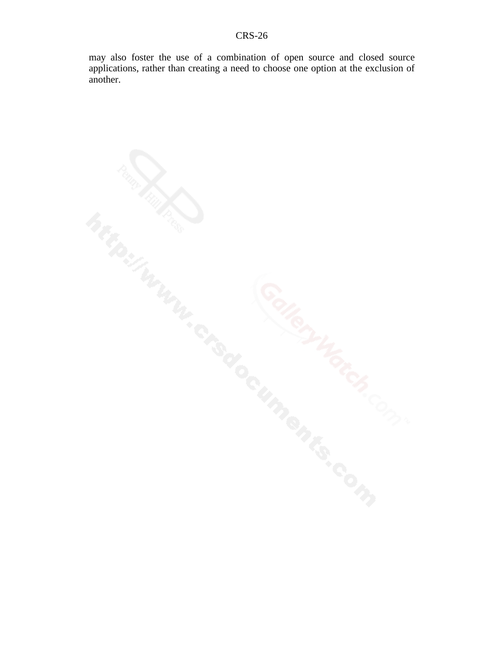may also foster the use of a combination of open source and closed source applications, rather than creating a need to choose one option at the exclusion of another.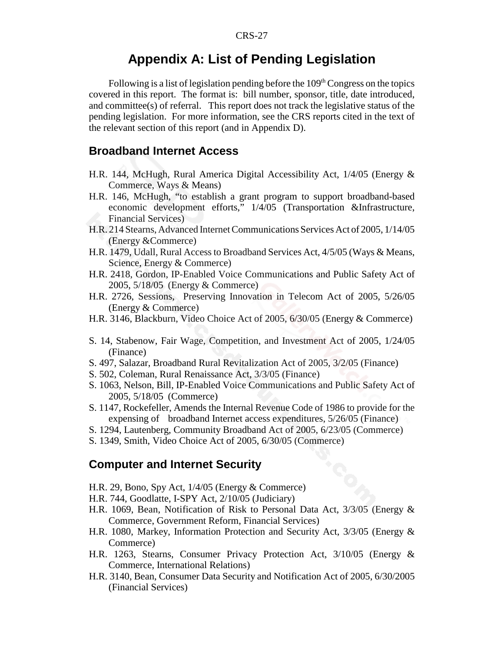### **Appendix A: List of Pending Legislation**

Following is a list of legislation pending before the  $109<sup>th</sup> Congress$  on the topics covered in this report. The format is: bill number, sponsor, title, date introduced, and committee(s) of referral. This report does not track the legislative status of the pending legislation. For more information, see the CRS reports cited in the text of the relevant section of this report (and in Appendix D).

#### **Broadband Internet Access**

- H.R. 144, McHugh, Rural America Digital Accessibility Act, 1/4/05 (Energy & Commerce, Ways & Means)
- H.R. 146, McHugh, "to establish a grant program to support broadband-based economic development efforts," 1/4/05 (Transportation &Infrastructure, Financial Services)
- H.R. 214 Stearns, Advanced Internet Communications Services Act of 2005, 1/14/05 (Energy &Commerce)
- H.R. 1479, Udall, Rural Access to Broadband Services Act, 4/5/05 (Ways & Means, Science, Energy & Commerce)
- H.R. 2418, Gordon, IP-Enabled Voice Communications and Public Safety Act of 2005, 5/18/05 (Energy & Commerce)
- H.R. 2726, Sessions, Preserving Innovation in Telecom Act of 2005, 5/26/05 (Energy & Commerce)
- H.R. 3146, Blackburn, Video Choice Act of 2005, 6/30/05 (Energy & Commerce)
- S. 14, Stabenow, Fair Wage, Competition, and Investment Act of 2005, 1/24/05 (Finance)
- S. 497, Salazar, Broadband Rural Revitalization Act of 2005, 3/2/05 (Finance)
- S. 502, Coleman, Rural Renaissance Act, 3/3/05 (Finance)
- S. 1063, Nelson, Bill, IP-Enabled Voice Communications and Public Safety Act of 2005, 5/18/05 (Commerce)
- S. 1147, Rockefeller, Amends the Internal Revenue Code of 1986 to provide for the expensing of broadband Internet access expenditures, 5/26/05 (Finance)
- S. 1294, Lautenberg, Community Broadband Act of 2005, 6/23/05 (Commerce)
- S. 1349, Smith, Video Choice Act of 2005, 6/30/05 (Commerce)

#### **Computer and Internet Security**

- H.R. 29, Bono, Spy Act, 1/4/05 (Energy & Commerce)
- H.R. 744, Goodlatte, I-SPY Act, 2/10/05 (Judiciary)
- H.R. 1069, Bean, Notification of Risk to Personal Data Act, 3/3/05 (Energy & Commerce, Government Reform, Financial Services)
- H.R. 1080, Markey, Information Protection and Security Act, 3/3/05 (Energy & Commerce)
- H.R. 1263, Stearns, Consumer Privacy Protection Act, 3/10/05 (Energy & Commerce, International Relations)
- H.R. 3140, Bean, Consumer Data Security and Notification Act of 2005, 6/30/2005 (Financial Services)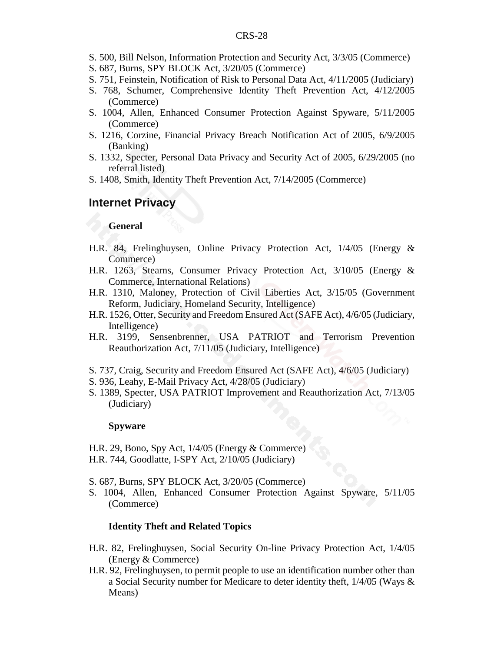- S. 500, Bill Nelson, Information Protection and Security Act, 3/3/05 (Commerce)
- S. 687, Burns, SPY BLOCK Act, 3/20/05 (Commerce)
- S. 751, Feinstein, Notification of Risk to Personal Data Act, 4/11/2005 (Judiciary)
- S. 768, Schumer, Comprehensive Identity Theft Prevention Act, 4/12/2005 (Commerce)
- S. 1004, Allen, Enhanced Consumer Protection Against Spyware, 5/11/2005 (Commerce)
- S. 1216, Corzine, Financial Privacy Breach Notification Act of 2005, 6/9/2005 (Banking)
- S. 1332, Specter, Personal Data Privacy and Security Act of 2005, 6/29/2005 (no referral listed)
- S. 1408, Smith, Identity Theft Prevention Act, 7/14/2005 (Commerce)

#### **Internet Privacy**

#### **General**

- H.R. 84, Frelinghuysen, Online Privacy Protection Act, 1/4/05 (Energy & Commerce)
- H.R. 1263, Stearns, Consumer Privacy Protection Act, 3/10/05 (Energy & Commerce, International Relations)
- H.R. 1310, Maloney, Protection of Civil Liberties Act, 3/15/05 (Government Reform, Judiciary, Homeland Security, Intelligence)
- H.R. 1526, Otter, Security and Freedom Ensured Act (SAFE Act), 4/6/05 (Judiciary, Intelligence)
- H.R. 3199, Sensenbrenner, USA PATRIOT and Terrorism Prevention Reauthorization Act, 7/11/05 (Judiciary, Intelligence)
- S. 737, Craig, Security and Freedom Ensured Act (SAFE Act), 4/6/05 (Judiciary)
- S. 936, Leahy, E-Mail Privacy Act, 4/28/05 (Judiciary)
- S. 1389, Specter, USA PATRIOT Improvement and Reauthorization Act, 7/13/05 (Judiciary)

#### **Spyware**

- H.R. 29, Bono, Spy Act, 1/4/05 (Energy & Commerce)
- H.R. 744, Goodlatte, I-SPY Act, 2/10/05 (Judiciary)
- S. 687, Burns, SPY BLOCK Act, 3/20/05 (Commerce)
- S. 1004, Allen, Enhanced Consumer Protection Against Spyware, 5/11/05 (Commerce)

#### **Identity Theft and Related Topics**

- H.R. 82, Frelinghuysen, Social Security On-line Privacy Protection Act, 1/4/05 (Energy & Commerce)
- H.R. 92, Frelinghuysen, to permit people to use an identification number other than a Social Security number for Medicare to deter identity theft, 1/4/05 (Ways & Means)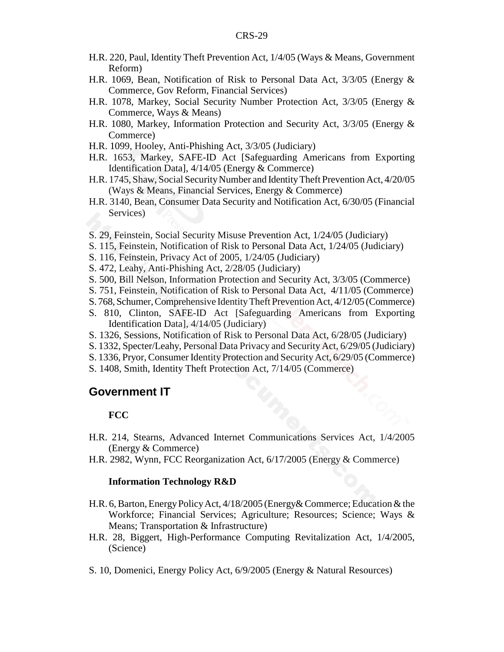- H.R. 220, Paul, Identity Theft Prevention Act, 1/4/05 (Ways & Means, Government Reform)
- H.R. 1069, Bean, Notification of Risk to Personal Data Act, 3/3/05 (Energy & Commerce, Gov Reform, Financial Services)
- H.R. 1078, Markey, Social Security Number Protection Act, 3/3/05 (Energy & Commerce, Ways & Means)
- H.R. 1080, Markey, Information Protection and Security Act, 3/3/05 (Energy & Commerce)
- H.R. 1099, Hooley, Anti-Phishing Act, 3/3/05 (Judiciary)
- H.R. 1653, Markey, SAFE-ID Act [Safeguarding Americans from Exporting Identification Data], 4/14/05 (Energy & Commerce)
- H.R. 1745, Shaw, Social Security Number and Identity Theft Prevention Act, 4/20/05 (Ways & Means, Financial Services, Energy & Commerce)
- H.R. 3140, Bean, Consumer Data Security and Notification Act, 6/30/05 (Financial Services)
- S. 29, Feinstein, Social Security Misuse Prevention Act, 1/24/05 (Judiciary)
- S. 115, Feinstein, Notification of Risk to Personal Data Act, 1/24/05 (Judiciary)
- S. 116, Feinstein, Privacy Act of 2005, 1/24/05 (Judiciary)
- S. 472, Leahy, Anti-Phishing Act, 2/28/05 (Judiciary)
- S. 500, Bill Nelson, Information Protection and Security Act, 3/3/05 (Commerce)
- S. 751, Feinstein, Notification of Risk to Personal Data Act, 4/11/05 (Commerce)
- S. 768, Schumer, Comprehensive Identity Theft Prevention Act, 4/12/05 (Commerce)
- S. 810, Clinton, SAFE-ID Act [Safeguarding Americans from Exporting Identification Data], 4/14/05 (Judiciary)
- S. 1326, Sessions, Notification of Risk to Personal Data Act, 6/28/05 (Judiciary)
- S. 1332, Specter/Leahy, Personal Data Privacy and Security Act, 6/29/05 (Judiciary)
- S. 1336, Pryor, Consumer Identity Protection and Security Act, 6/29/05 (Commerce)
- S. 1408, Smith, Identity Theft Protection Act, 7/14/05 (Commerce)

#### **Government IT**

#### **FCC**

- H.R. 214, Stearns, Advanced Internet Communications Services Act, 1/4/2005 (Energy & Commerce)
- H.R. 2982, Wynn, FCC Reorganization Act, 6/17/2005 (Energy & Commerce)

#### **Information Technology R&D**

- H.R. 6, Barton, Energy Policy Act, 4/18/2005 (Energy& Commerce; Education & the Workforce; Financial Services; Agriculture; Resources; Science; Ways & Means; Transportation & Infrastructure)
- H.R. 28, Biggert, High-Performance Computing Revitalization Act, 1/4/2005, (Science)
- S. 10, Domenici, Energy Policy Act, 6/9/2005 (Energy & Natural Resources)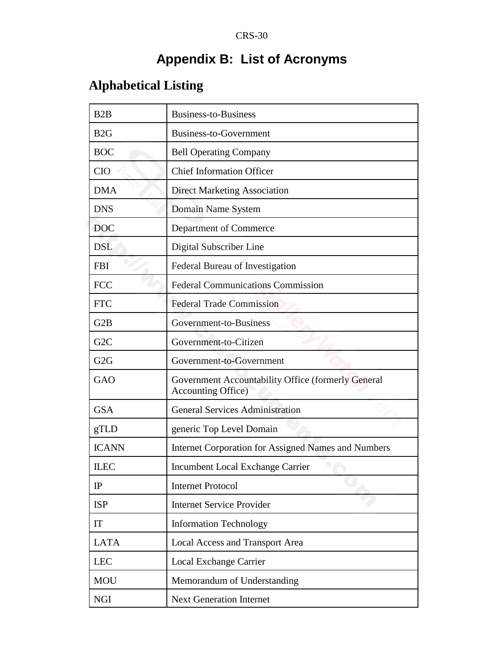## **Appendix B: List of Acronyms**

## **Alphabetical Listing**

| B2B              | <b>Business-to-Business</b>                                                      |
|------------------|----------------------------------------------------------------------------------|
| B2G              | Business-to-Government                                                           |
| <b>BOC</b>       | <b>Bell Operating Company</b>                                                    |
| <b>CIO</b>       | <b>Chief Information Officer</b>                                                 |
| <b>DMA</b>       | <b>Direct Marketing Association</b>                                              |
| <b>DNS</b>       | Domain Name System                                                               |
| <b>DOC</b>       | Department of Commerce                                                           |
| <b>DSL</b>       | Digital Subscriber Line                                                          |
| <b>FBI</b>       | Federal Bureau of Investigation                                                  |
| <b>FCC</b>       | <b>Federal Communications Commission</b>                                         |
| <b>FTC</b>       | <b>Federal Trade Commission</b>                                                  |
| G <sub>2</sub> B | Government-to-Business                                                           |
| G <sub>2</sub> C | Government-to-Citizen                                                            |
| G <sub>2</sub> G | Government-to-Government                                                         |
| GAO              | Government Accountability Office (formerly General<br><b>Accounting Office</b> ) |
| <b>GSA</b>       | <b>General Services Administration</b>                                           |
| gTLD             | generic Top Level Domain                                                         |
| <b>ICANN</b>     | Internet Corporation for Assigned Names and Numbers                              |
| <b>ILEC</b>      | Incumbent Local Exchange Carrier                                                 |
| $_{\rm IP}$      | <b>Internet Protocol</b>                                                         |
| <b>ISP</b>       | <b>Internet Service Provider</b>                                                 |
| IT               | <b>Information Technology</b>                                                    |
| <b>LATA</b>      | Local Access and Transport Area                                                  |
| <b>LEC</b>       | Local Exchange Carrier                                                           |
| <b>MOU</b>       | Memorandum of Understanding                                                      |
| <b>NGI</b>       | <b>Next Generation Internet</b>                                                  |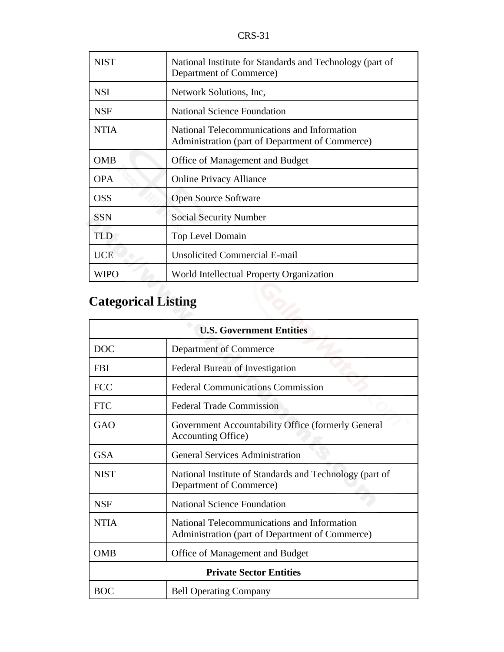| <b>NIST</b>                | National Institute for Standards and Technology (part of<br>Department of Commerce)            |
|----------------------------|------------------------------------------------------------------------------------------------|
| <b>NSI</b>                 | Network Solutions, Inc.                                                                        |
| <b>NSF</b>                 | <b>National Science Foundation</b>                                                             |
| <b>NTIA</b>                | National Telecommunications and Information<br>Administration (part of Department of Commerce) |
| <b>OMB</b>                 | Office of Management and Budget                                                                |
| <b>OPA</b>                 | <b>Online Privacy Alliance</b>                                                                 |
| <b>OSS</b>                 | <b>Open Source Software</b>                                                                    |
| <b>SSN</b>                 | <b>Social Security Number</b>                                                                  |
| <b>TLD</b>                 | <b>Top Level Domain</b>                                                                        |
| <b>UCE</b>                 | <b>Unsolicited Commercial E-mail</b>                                                           |
| <b>WIPO</b>                | World Intellectual Property Organization                                                       |
| <b>Categorical Listing</b> |                                                                                                |

## **Categorical Listing**

| <b>U.S. Government Entities</b> |                                                                                                |  |
|---------------------------------|------------------------------------------------------------------------------------------------|--|
| <b>DOC</b>                      | Department of Commerce                                                                         |  |
| <b>FBI</b>                      | Federal Bureau of Investigation                                                                |  |
| <b>FCC</b>                      | <b>Federal Communications Commission</b>                                                       |  |
| <b>FTC</b>                      | <b>Federal Trade Commission</b>                                                                |  |
| GAO                             | Government Accountability Office (formerly General<br><b>Accounting Office</b> )               |  |
| <b>GSA</b>                      | <b>General Services Administration</b>                                                         |  |
| <b>NIST</b>                     | National Institute of Standards and Technology (part of<br>Department of Commerce)             |  |
| <b>NSF</b>                      | <b>National Science Foundation</b>                                                             |  |
| <b>NTIA</b>                     | National Telecommunications and Information<br>Administration (part of Department of Commerce) |  |
| <b>OMB</b>                      | Office of Management and Budget                                                                |  |
| <b>Private Sector Entities</b>  |                                                                                                |  |
| <b>BOC</b>                      | <b>Bell Operating Company</b>                                                                  |  |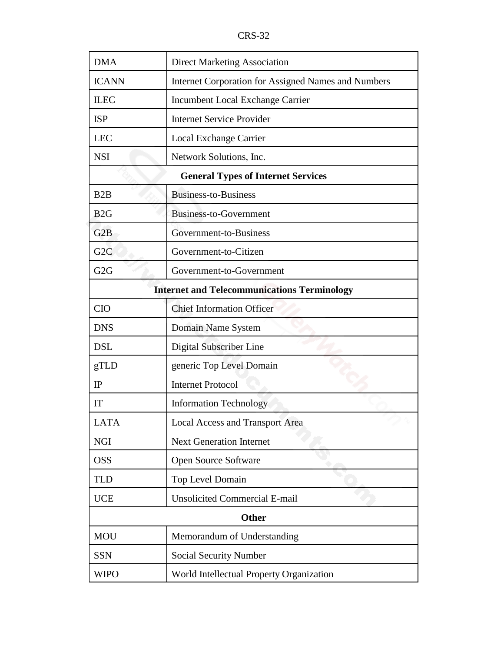CRS-32

| <b>DMA</b>                                         | <b>Direct Marketing Association</b>                 |  |
|----------------------------------------------------|-----------------------------------------------------|--|
| <b>ICANN</b>                                       | Internet Corporation for Assigned Names and Numbers |  |
| <b>ILEC</b>                                        | Incumbent Local Exchange Carrier                    |  |
| <b>ISP</b>                                         | <b>Internet Service Provider</b>                    |  |
| <b>LEC</b>                                         | Local Exchange Carrier                              |  |
| <b>NSI</b>                                         | Network Solutions, Inc.                             |  |
| <b>General Types of Internet Services</b>          |                                                     |  |
| B2B                                                | <b>Business-to-Business</b>                         |  |
| B <sub>2G</sub>                                    | Business-to-Government                              |  |
| G2B                                                | Government-to-Business                              |  |
| G <sub>2</sub> C                                   | Government-to-Citizen                               |  |
| G2G                                                | Government-to-Government                            |  |
| <b>Internet and Telecommunications Terminology</b> |                                                     |  |
| <b>CIO</b>                                         | <b>Chief Information Officer</b>                    |  |
| <b>DNS</b>                                         | Domain Name System                                  |  |
| <b>DSL</b>                                         | Digital Subscriber Line                             |  |
| gTLD                                               | generic Top Level Domain                            |  |
| $_{\rm IP}$                                        | <b>Internet Protocol</b>                            |  |
| IT                                                 | <b>Information Technology</b>                       |  |
| LATA                                               | <b>Local Access and Transport Area</b>              |  |
| <b>NGI</b>                                         | <b>Next Generation Internet</b>                     |  |
| <b>OSS</b>                                         | <b>Open Source Software</b>                         |  |
| <b>TLD</b>                                         | Top Level Domain                                    |  |
| <b>UCE</b>                                         | <b>Unsolicited Commercial E-mail</b>                |  |
| <b>Other</b>                                       |                                                     |  |
| <b>MOU</b>                                         | Memorandum of Understanding                         |  |
| <b>SSN</b>                                         | <b>Social Security Number</b>                       |  |
| <b>WIPO</b>                                        | World Intellectual Property Organization            |  |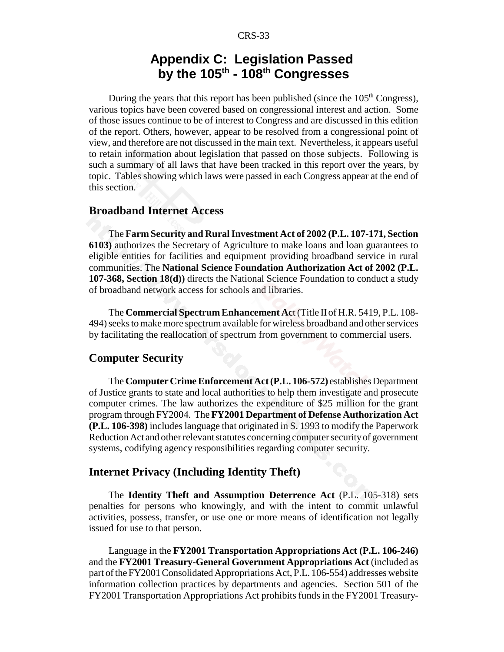## **Appendix C: Legislation Passed by the 105th - 108th Congresses**

During the years that this report has been published (since the  $105<sup>th</sup>$  Congress), various topics have been covered based on congressional interest and action. Some of those issues continue to be of interest to Congress and are discussed in this edition of the report. Others, however, appear to be resolved from a congressional point of view, and therefore are not discussed in the main text. Nevertheless, it appears useful to retain information about legislation that passed on those subjects. Following is such a summary of all laws that have been tracked in this report over the years, by topic. Tables showing which laws were passed in each Congress appear at the end of this section.

#### **Broadband Internet Access**

The **Farm Security and Rural Investment Act of 2002 (P.L. 107-171, Section 6103)** authorizes the Secretary of Agriculture to make loans and loan guarantees to eligible entities for facilities and equipment providing broadband service in rural communities. The **National Science Foundation Authorization Act of 2002 (P.L. 107-368, Section 18(d))** directs the National Science Foundation to conduct a study of broadband network access for schools and libraries.

The **Commercial Spectrum Enhancement Ac**t (Title II of H.R. 5419, P.L. 108- 494) seeks to make more spectrum available for wireless broadband and other services by facilitating the reallocation of spectrum from government to commercial users.

#### **Computer Security**

The **Computer Crime Enforcement Act (P.L. 106-572)** establishes Department of Justice grants to state and local authorities to help them investigate and prosecute computer crimes. The law authorizes the expenditure of \$25 million for the grant program through FY2004. The **FY2001 Department of Defense Authorization Act (P.L. 106-398)** includes language that originated in S. 1993 to modify the Paperwork Reduction Act and other relevant statutes concerning computer security of government systems, codifying agency responsibilities regarding computer security.

#### **Internet Privacy (Including Identity Theft)**

The **Identity Theft and Assumption Deterrence Act** (P.L. 105-318) sets penalties for persons who knowingly, and with the intent to commit unlawful activities, possess, transfer, or use one or more means of identification not legally issued for use to that person.

Language in the **FY2001 Transportation Appropriations Act (P.L. 106-246)** and the **FY2001 Treasury-General Government Appropriations Act** (included as part of the FY2001 Consolidated Appropriations Act, P.L. 106-554) addresses website information collection practices by departments and agencies. Section 501 of the FY2001 Transportation Appropriations Act prohibits funds in the FY2001 Treasury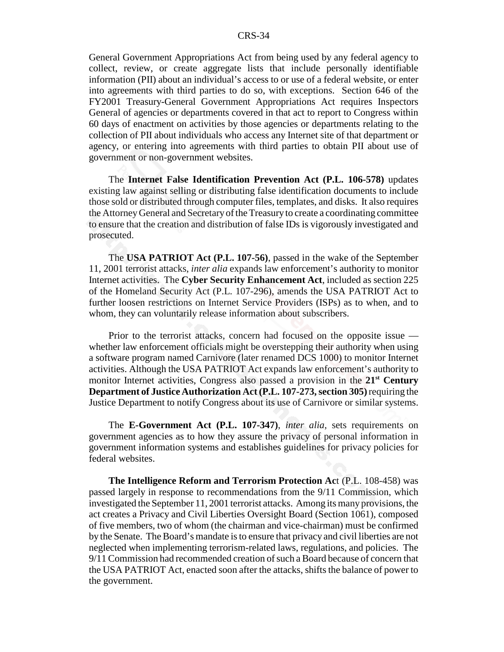General Government Appropriations Act from being used by any federal agency to collect, review, or create aggregate lists that include personally identifiable information (PII) about an individual's access to or use of a federal website, or enter into agreements with third parties to do so, with exceptions. Section 646 of the FY2001 Treasury-General Government Appropriations Act requires Inspectors General of agencies or departments covered in that act to report to Congress within 60 days of enactment on activities by those agencies or departments relating to the collection of PII about individuals who access any Internet site of that department or agency, or entering into agreements with third parties to obtain PII about use of government or non-government websites.

The **Internet False Identification Prevention Act (P.L. 106-578)** updates existing law against selling or distributing false identification documents to include those sold or distributed through computer files, templates, and disks. It also requires the Attorney General and Secretary of the Treasury to create a coordinating committee to ensure that the creation and distribution of false IDs is vigorously investigated and prosecuted.

The **USA PATRIOT Act (P.L. 107-56)**, passed in the wake of the September 11, 2001 terrorist attacks, *inter alia* expands law enforcement's authority to monitor Internet activities. The **Cyber Security Enhancement Act**, included as section 225 of the Homeland Security Act (P.L. 107-296), amends the USA PATRIOT Act to further loosen restrictions on Internet Service Providers (ISPs) as to when, and to whom, they can voluntarily release information about subscribers.

Prior to the terrorist attacks, concern had focused on the opposite issue whether law enforcement officials might be overstepping their authority when using a software program named Carnivore (later renamed DCS 1000) to monitor Internet activities. Although the USA PATRIOT Act expands law enforcement's authority to monitor Internet activities, Congress also passed a provision in the **21st Century Department of Justice Authorization Act (P.L. 107-273, section 305)** requiring the Justice Department to notify Congress about its use of Carnivore or similar systems.

The **E-Government Act (P.L. 107-347)**, *inter alia*, sets requirements on government agencies as to how they assure the privacy of personal information in government information systems and establishes guidelines for privacy policies for federal websites.

**The Intelligence Reform and Terrorism Protection Ac**t (P.L. 108-458) was passed largely in response to recommendations from the 9/11 Commission, which investigated the September 11, 2001 terrorist attacks. Among its many provisions, the act creates a Privacy and Civil Liberties Oversight Board (Section 1061), composed of five members, two of whom (the chairman and vice-chairman) must be confirmed by the Senate. The Board's mandate is to ensure that privacy and civil liberties are not neglected when implementing terrorism-related laws, regulations, and policies. The 9/11 Commission had recommended creation of such a Board because of concern that the USA PATRIOT Act, enacted soon after the attacks, shifts the balance of power to the government.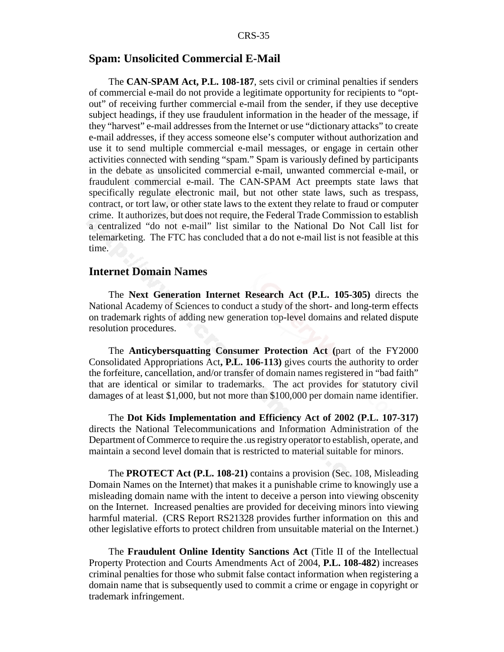#### **Spam: Unsolicited Commercial E-Mail**

The **CAN-SPAM Act, P.L. 108-187**, sets civil or criminal penalties if senders of commercial e-mail do not provide a legitimate opportunity for recipients to "optout" of receiving further commercial e-mail from the sender, if they use deceptive subject headings, if they use fraudulent information in the header of the message, if they "harvest" e-mail addresses from the Internet or use "dictionary attacks" to create e-mail addresses, if they access someone else's computer without authorization and use it to send multiple commercial e-mail messages, or engage in certain other activities connected with sending "spam." Spam is variously defined by participants in the debate as unsolicited commercial e-mail, unwanted commercial e-mail, or fraudulent commercial e-mail. The CAN-SPAM Act preempts state laws that specifically regulate electronic mail, but not other state laws, such as trespass, contract, or tort law, or other state laws to the extent they relate to fraud or computer crime. It authorizes, but does not require, the Federal Trade Commission to establish a centralized "do not e-mail" list similar to the National Do Not Call list for telemarketing. The FTC has concluded that a do not e-mail list is not feasible at this time.

#### **Internet Domain Names**

The **Next Generation Internet Research Act (P.L. 105-305)** directs the National Academy of Sciences to conduct a study of the short- and long-term effects on trademark rights of adding new generation top-level domains and related dispute resolution procedures.

The **Anticybersquatting Consumer Protection Act (**part of the FY2000 Consolidated Appropriations Act**, P.L. 106-113)** gives courts the authority to order the forfeiture, cancellation, and/or transfer of domain names registered in "bad faith" that are identical or similar to trademarks. The act provides for statutory civil damages of at least \$1,000, but not more than \$100,000 per domain name identifier.

The **Dot Kids Implementation and Efficiency Act of 2002 (P.L. 107-317)** directs the National Telecommunications and Information Administration of the Department of Commerce to require the .us registry operator to establish, operate, and maintain a second level domain that is restricted to material suitable for minors.

The **PROTECT Act (P.L. 108-21)** contains a provision (Sec. 108, Misleading Domain Names on the Internet) that makes it a punishable crime to knowingly use a misleading domain name with the intent to deceive a person into viewing obscenity on the Internet. Increased penalties are provided for deceiving minors into viewing harmful material. (CRS Report RS21328 provides further information on this and other legislative efforts to protect children from unsuitable material on the Internet.)

The **Fraudulent Online Identity Sanctions Act** (Title II of the Intellectual Property Protection and Courts Amendments Act of 2004, **P.L. 108-482**) increases criminal penalties for those who submit false contact information when registering a domain name that is subsequently used to commit a crime or engage in copyright or trademark infringement.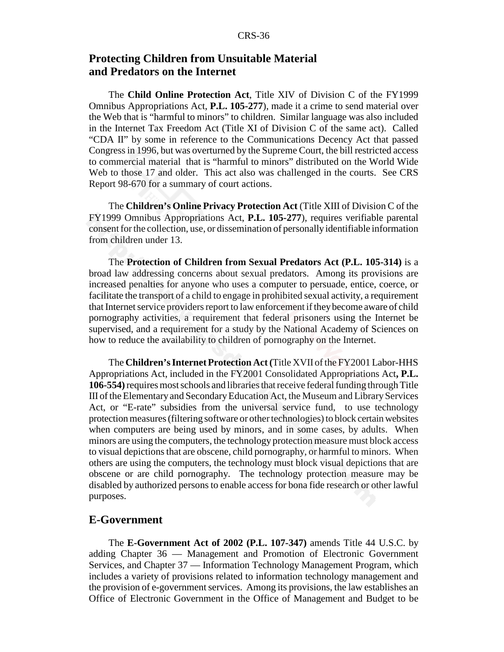#### **Protecting Children from Unsuitable Material and Predators on the Internet**

The **Child Online Protection Act**, Title XIV of Division C of the FY1999 Omnibus Appropriations Act, **P.L. 105-277**), made it a crime to send material over the Web that is "harmful to minors" to children. Similar language was also included in the Internet Tax Freedom Act (Title XI of Division C of the same act). Called "CDA II" by some in reference to the Communications Decency Act that passed Congress in 1996, but was overturned by the Supreme Court, the bill restricted access to commercial material that is "harmful to minors" distributed on the World Wide Web to those 17 and older. This act also was challenged in the courts. See CRS Report 98-670 for a summary of court actions.

The **Children's Online Privacy Protection Act** (Title XIII of Division C of the FY1999 Omnibus Appropriations Act, **P.L. 105-277**), requires verifiable parental consent for the collection, use, or dissemination of personally identifiable information from children under 13.

The **Protection of Children from Sexual Predators Act (P.L. 105-314)** is a broad law addressing concerns about sexual predators. Among its provisions are increased penalties for anyone who uses a computer to persuade, entice, coerce, or facilitate the transport of a child to engage in prohibited sexual activity, a requirement that Internet service providers report to law enforcement if they become aware of child pornography activities, a requirement that federal prisoners using the Internet be supervised, and a requirement for a study by the National Academy of Sciences on how to reduce the availability to children of pornography on the Internet.

The **Children's Internet Protection Act (**Title XVII of the FY2001 Labor-HHS Appropriations Act, included in the FY2001 Consolidated Appropriations Act**, P.L. 106-554)** requires most schools and libraries that receive federal funding through Title III of the Elementary and Secondary Education Act, the Museum and Library Services Act, or "E-rate" subsidies from the universal service fund, to use technology protection measures (filtering software or other technologies) to block certain websites when computers are being used by minors, and in some cases, by adults. When minors are using the computers, the technology protection measure must block access to visual depictions that are obscene, child pornography, or harmful to minors. When others are using the computers, the technology must block visual depictions that are obscene or are child pornography. The technology protection measure may be disabled by authorized persons to enable access for bona fide research or other lawful purposes.

#### **E-Government**

The **E-Government Act of 2002 (P.L. 107-347)** amends Title 44 U.S.C. by adding Chapter 36 — Management and Promotion of Electronic Government Services, and Chapter 37 — Information Technology Management Program, which includes a variety of provisions related to information technology management and the provision of e-government services. Among its provisions, the law establishes an Office of Electronic Government in the Office of Management and Budget to be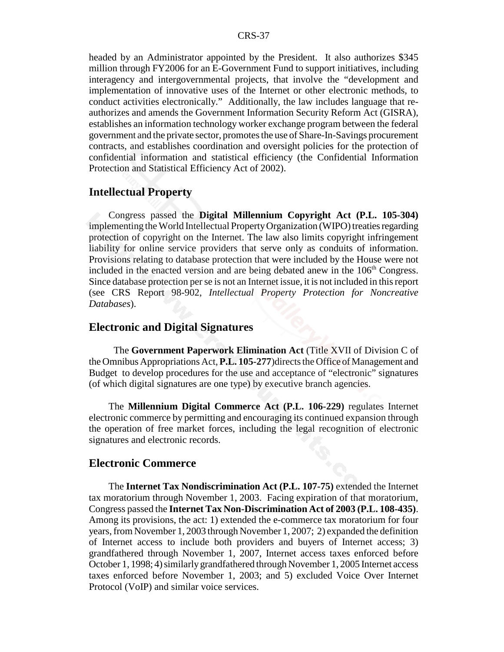headed by an Administrator appointed by the President. It also authorizes \$345 million through FY2006 for an E-Government Fund to support initiatives, including interagency and intergovernmental projects, that involve the "development and implementation of innovative uses of the Internet or other electronic methods, to conduct activities electronically." Additionally, the law includes language that reauthorizes and amends the Government Information Security Reform Act (GISRA), establishes an information technology worker exchange program between the federal government and the private sector, promotes the use of Share-In-Savings procurement contracts, and establishes coordination and oversight policies for the protection of confidential information and statistical efficiency (the Confidential Information Protection and Statistical Efficiency Act of 2002).

#### **Intellectual Property**

Congress passed the **Digital Millennium Copyright Act (P.L. 105-304)** implementing the World Intellectual Property Organization (WIPO) treaties regarding protection of copyright on the Internet. The law also limits copyright infringement liability for online service providers that serve only as conduits of information. Provisions relating to database protection that were included by the House were not included in the enacted version and are being debated anew in the  $106<sup>th</sup>$  Congress. Since database protection per se is not an Internet issue, it is not included in this report (see CRS Report 98-902, *Intellectual Property Protection for Noncreative Databases*).

#### **Electronic and Digital Signatures**

 The **Government Paperwork Elimination Act** (Title XVII of Division C of the Omnibus Appropriations Act, **P.L. 105-277**)directs the Office of Management and Budget to develop procedures for the use and acceptance of "electronic" signatures (of which digital signatures are one type) by executive branch agencies.

The **Millennium Digital Commerce Act (P.L. 106-229)** regulates Internet electronic commerce by permitting and encouraging its continued expansion through the operation of free market forces, including the legal recognition of electronic signatures and electronic records.

#### **Electronic Commerce**

The **Internet Tax Nondiscrimination Act (P.L. 107-75)** extended the Internet tax moratorium through November 1, 2003. Facing expiration of that moratorium, Congress passed the **Internet Tax Non-Discrimination Act of 2003 (P.L. 108-435)**. Among its provisions, the act: 1) extended the e-commerce tax moratorium for four years, from November 1, 2003 through November 1, 2007; 2) expanded the definition of Internet access to include both providers and buyers of Internet access; 3) grandfathered through November 1, 2007, Internet access taxes enforced before October 1, 1998; 4) similarly grandfathered through November 1, 2005 Internet access taxes enforced before November 1, 2003; and 5) excluded Voice Over Internet Protocol (VoIP) and similar voice services.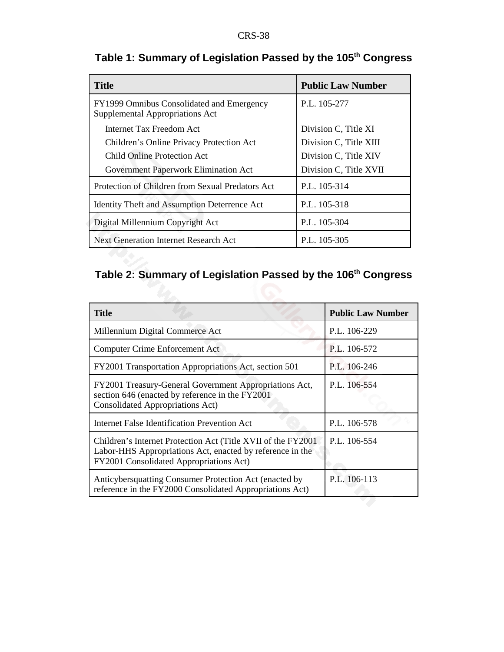| <b>Title</b>                                                                 | <b>Public Law Number</b> |
|------------------------------------------------------------------------------|--------------------------|
| FY1999 Omnibus Consolidated and Emergency<br>Supplemental Appropriations Act | P.L. 105-277             |
| Internet Tax Freedom Act                                                     | Division C, Title XI     |
| Children's Online Privacy Protection Act                                     | Division C, Title XIII   |
| Child Online Protection Act                                                  | Division C, Title XIV    |
| Government Paperwork Elimination Act                                         | Division C, Title XVII   |
| Protection of Children from Sexual Predators Act                             | P.L. 105-314             |
| Identity Theft and Assumption Deterrence Act                                 | P.L. 105-318             |
| Digital Millennium Copyright Act                                             | P.L. 105-304             |
| <b>Next Generation Internet Research Act</b>                                 | P.L. 105-305             |

## **Table 1: Summary of Legislation Passed by the 105th Congress**

## **Table 2: Summary of Legislation Passed by the 106th Congress**

| <b>Title</b>                                                                                                                                                          | <b>Public Law Number</b> |
|-----------------------------------------------------------------------------------------------------------------------------------------------------------------------|--------------------------|
| Millennium Digital Commerce Act                                                                                                                                       | P.L. 106-229             |
| <b>Computer Crime Enforcement Act</b>                                                                                                                                 | P.L. 106-572             |
| FY2001 Transportation Appropriations Act, section 501                                                                                                                 | P.L. 106-246             |
| FY2001 Treasury-General Government Appropriations Act,<br>section 646 (enacted by reference in the FY2001)<br><b>Consolidated Appropriations Act)</b>                 | P.L. 106-554             |
| Internet False Identification Prevention Act                                                                                                                          | P.L. 106-578             |
| Children's Internet Protection Act (Title XVII of the FY2001)<br>Labor-HHS Appropriations Act, enacted by reference in the<br>FY2001 Consolidated Appropriations Act) | P.L. 106-554             |
| Anticybersquatting Consumer Protection Act (enacted by<br>reference in the FY2000 Consolidated Appropriations Act)                                                    | P.L. 106-113             |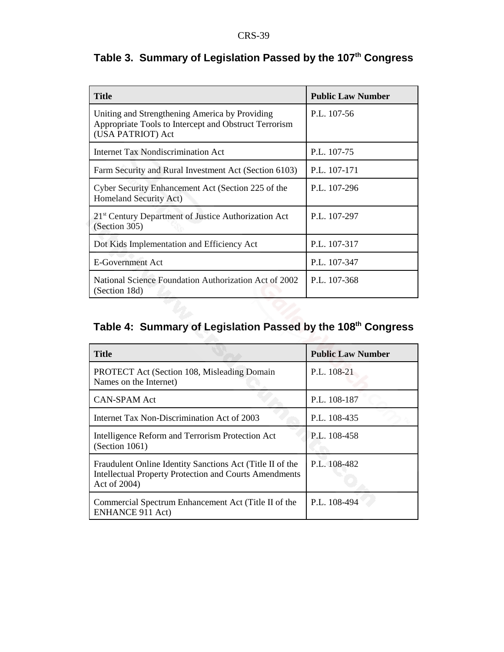| <b>Title</b>                                                                                                                 | <b>Public Law Number</b> |
|------------------------------------------------------------------------------------------------------------------------------|--------------------------|
| Uniting and Strengthening America by Providing<br>Appropriate Tools to Intercept and Obstruct Terrorism<br>(USA PATRIOT) Act | P.L. 107-56              |
| Internet Tax Nondiscrimination Act                                                                                           | P.L. 107-75              |
| Farm Security and Rural Investment Act (Section 6103)                                                                        | P.L. 107-171             |
| Cyber Security Enhancement Act (Section 225 of the<br>Homeland Security Act)                                                 | P.L. 107-296             |
| 21 <sup>st</sup> Century Department of Justice Authorization Act<br>(Section 305)                                            | P.L. 107-297             |
| Dot Kids Implementation and Efficiency Act                                                                                   | P.L. 107-317             |
| <b>E-Government Act</b>                                                                                                      | P.L. 107-347             |
| National Science Foundation Authorization Act of 2002<br>(Section 18d)                                                       | P.L. 107-368             |

## **Table 3. Summary of Legislation Passed by the 107th Congress**

## **Table 4: Summary of Legislation Passed by the 108th Congress**

| <b>Title</b>                                                                                                                               | <b>Public Law Number</b> |
|--------------------------------------------------------------------------------------------------------------------------------------------|--------------------------|
| <b>PROTECT Act (Section 108, Misleading Domain</b><br>Names on the Internet)                                                               | P.L. 108-21              |
| <b>CAN-SPAM Act</b>                                                                                                                        | P.L. 108-187             |
| Internet Tax Non-Discrimination Act of 2003                                                                                                | P.L. 108-435             |
| Intelligence Reform and Terrorism Protection Act<br>(Section 1061)                                                                         | P.L. 108-458             |
| Fraudulent Online Identity Sanctions Act (Title II of the<br><b>Intellectual Property Protection and Courts Amendments</b><br>Act of 2004) | P.L. 108-482             |
| Commercial Spectrum Enhancement Act (Title II of the<br><b>ENHANCE 911 Act)</b>                                                            | P.L. 108-494             |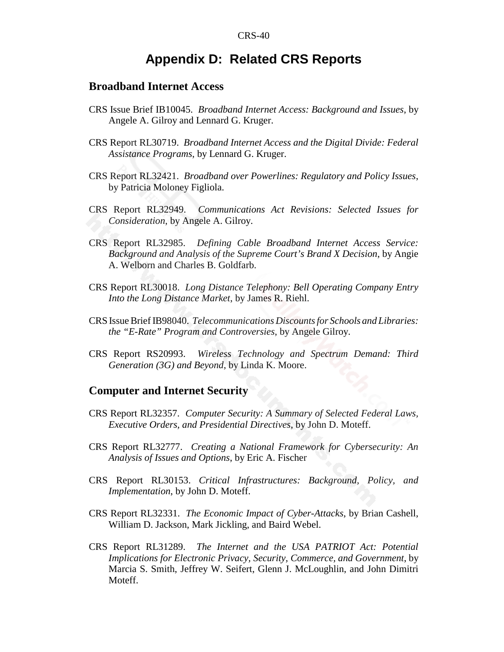## **Appendix D: Related CRS Reports**

#### **Broadband Internet Access**

- CRS Issue Brief IB10045. *Broadband Internet Access: Background and Issues*, by Angele A. Gilroy and Lennard G. Kruger.
- CRS Report RL30719. *Broadband Internet Access and the Digital Divide: Federal Assistance Programs*, by Lennard G. Kruger.
- CRS Report RL32421. *Broadband over Powerlines: Regulatory and Policy Issues*, by Patricia Moloney Figliola.
- CRS Report RL32949. *Communications Act Revisions: Selected Issues for Consideration*, by Angele A. Gilroy.
- CRS Report RL32985. *Defining Cable Broadband Internet Access Service: Background and Analysis of the Supreme Court's Brand X Decision*, by Angie A. Welborn and Charles B. Goldfarb.
- CRS Report RL30018. *Long Distance Telephony: Bell Operating Company Entry Into the Long Distance Market*, by James R. Riehl.
- CRS Issue Brief IB98040. *Telecommunications Discounts for Schools and Libraries: the "E-Rate" Program and Controversies*, by Angele Gilroy.
- CRS Report RS20993. *Wireless Technology and Spectrum Demand: Third Generation (3G) and Beyond*, by Linda K. Moore.

#### **Computer and Internet Security**

- CRS Report RL32357. *Computer Security: A Summary of Selected Federal Laws, Executive Orders, and Presidential Directives*, by John D. Moteff.
- CRS Report RL32777. *Creating a National Framework for Cybersecurity: An Analysis of Issues and Options*, by Eric A. Fischer
- CRS Report RL30153. *Critical Infrastructures: Background, Policy, and Implementation*, by John D. Moteff.
- CRS Report RL32331. *The Economic Impact of Cyber-Attacks*, by Brian Cashell, William D. Jackson, Mark Jickling, and Baird Webel.
- CRS Report RL31289. *The Internet and the USA PATRIOT Act: Potential Implications for Electronic Privacy, Security, Commerce, and Government*, by Marcia S. Smith, Jeffrey W. Seifert, Glenn J. McLoughlin, and John Dimitri Moteff.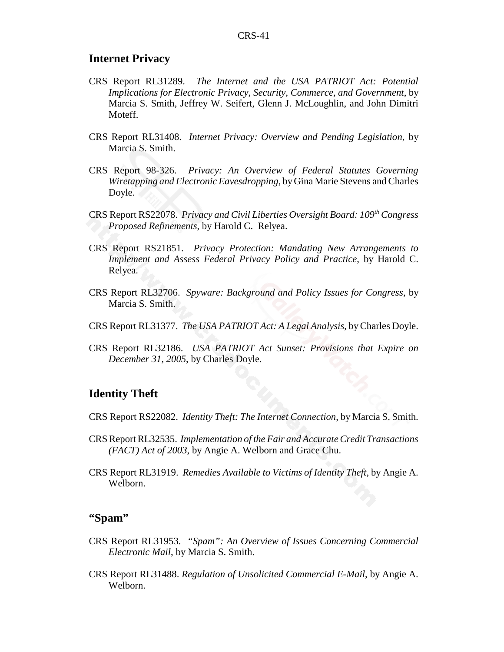#### **Internet Privacy**

- CRS Report RL31289. *The Internet and the USA PATRIOT Act: Potential Implications for Electronic Privacy, Security, Commerce, and Government*, by Marcia S. Smith, Jeffrey W. Seifert, Glenn J. McLoughlin, and John Dimitri Moteff.
- CRS Report RL31408. *Internet Privacy: Overview and Pending Legislation*, by Marcia S. Smith.
- CRS Report 98-326. *Privacy: An Overview of Federal Statutes Governing Wiretapping and Electronic Eavesdropping*, by Gina Marie Stevens and Charles Doyle.
- CRS Report RS22078. *Privacy and Civil Liberties Oversight Board: 109th Congress Proposed Refinements*, by Harold C. Relyea.
- CRS Report RS21851. *Privacy Protection: Mandating New Arrangements to Implement and Assess Federal Privacy Policy and Practice*, by Harold C. Relyea.
- CRS Report RL32706. *Spyware: Background and Policy Issues for Congress*, by Marcia S. Smith.
- CRS Report RL31377. *The USA PATRIOT Act: A Legal Analysis*, by Charles Doyle.
- CRS Report RL32186. *USA PATRIOT Act Sunset: Provisions that Expire on December 31, 2005*, by Charles Doyle.

#### **Identity Theft**

- CRS Report RS22082. *Identity Theft: The Internet Connection*, by Marcia S. Smith.
- CRS Report RL32535. *Implementation of the Fair and Accurate Credit Transactions (FACT) Act of 2003*, by Angie A. Welborn and Grace Chu.
- CRS Report RL31919. *Remedies Available to Victims of Identity Theft*, by Angie A. Welborn.

#### **"Spam"**

- CRS Report RL31953. *"Spam": An Overview of Issues Concerning Commercial Electronic Mail*, by Marcia S. Smith.
- CRS Report RL31488. *Regulation of Unsolicited Commercial E-Mail*, by Angie A. Welborn.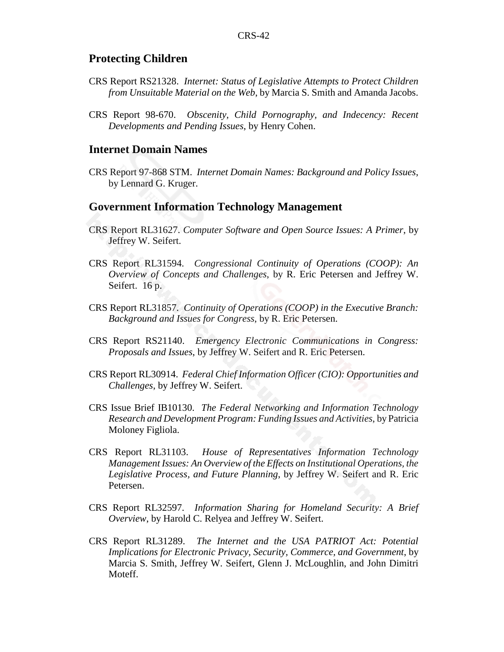#### **Protecting Children**

- CRS Report RS21328. *Internet: Status of Legislative Attempts to Protect Children from Unsuitable Material on the Web*, by Marcia S. Smith and Amanda Jacobs.
- CRS Report 98-670. *Obscenity, Child Pornography, and Indecency: Recent Developments and Pending Issues*, by Henry Cohen.

#### **Internet Domain Names**

CRS Report 97-868 STM. *Internet Domain Names: Background and Policy Issues*, by Lennard G. Kruger.

#### **Government Information Technology Management**

- CRS Report RL31627. *Computer Software and Open Source Issues: A Primer*, by Jeffrey W. Seifert.
- CRS Report RL31594. *Congressional Continuity of Operations (COOP): An Overview of Concepts and Challenges*, by R. Eric Petersen and Jeffrey W. Seifert. 16 p.
- CRS Report RL31857. *Continuity of Operations (COOP) in the Executive Branch: Background and Issues for Congress*, by R. Eric Petersen.
- CRS Report RS21140. *Emergency Electronic Communications in Congress: Proposals and Issues*, by Jeffrey W. Seifert and R. Eric Petersen.
- CRS Report RL30914. *Federal Chief Information Officer (CIO): Opportunities and Challenges*, by Jeffrey W. Seifert.
- CRS Issue Brief IB10130. *The Federal Networking and Information Technology Research and Development Program: Funding Issues and Activities*, by Patricia Moloney Figliola.
- CRS Report RL31103. *House of Representatives Information Technology Management Issues: An Overview of the Effects on Institutional Operations, the Legislative Process, and Future Planning*, by Jeffrey W. Seifert and R. Eric Petersen.
- CRS Report RL32597. *Information Sharing for Homeland Security: A Brief Overview*, by Harold C. Relyea and Jeffrey W. Seifert.
- CRS Report RL31289. *The Internet and the USA PATRIOT Act: Potential Implications for Electronic Privacy, Security, Commerce, and Government*, by Marcia S. Smith, Jeffrey W. Seifert, Glenn J. McLoughlin, and John Dimitri Moteff.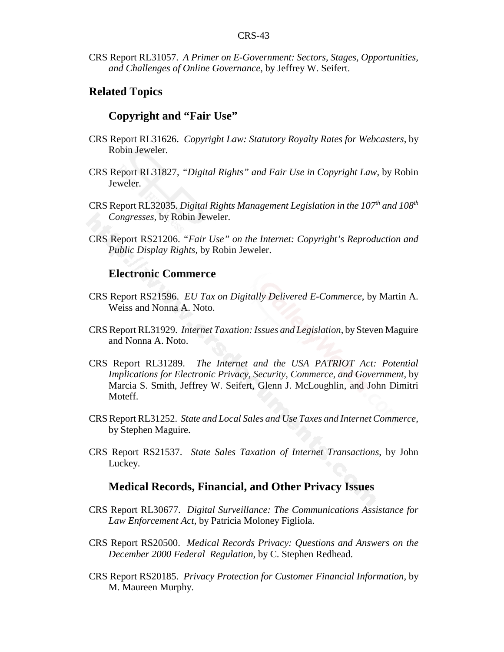CRS Report RL31057. *A Primer on E-Government: Sectors, Stages, Opportunities, and Challenges of Online Governance*, by Jeffrey W. Seifert.

#### **Related Topics**

#### **Copyright and "Fair Use"**

- CRS Report RL31626. *Copyright Law: Statutory Royalty Rates for Webcasters*, by Robin Jeweler.
- CRS Report RL31827, *"Digital Rights" and Fair Use in Copyright Law*, by Robin Jeweler.
- CRS Report RL32035. *Digital Rights Management Legislation in the 107th and 108th Congresses*, by Robin Jeweler.
- CRS Report RS21206. *"Fair Use" on the Internet: Copyright's Reproduction and Public Display Rights*, by Robin Jeweler.

#### **Electronic Commerce**

- CRS Report RS21596. *EU Tax on Digitally Delivered E-Commerce*, by Martin A. Weiss and Nonna A. Noto.
- CRS Report RL31929. *Internet Taxation: Issues and Legislation*, by Steven Maguire and Nonna A. Noto.
- CRS Report RL31289. *The Internet and the USA PATRIOT Act: Potential Implications for Electronic Privacy, Security, Commerce, and Government*, by Marcia S. Smith, Jeffrey W. Seifert, Glenn J. McLoughlin, and John Dimitri Moteff.
- CRS Report RL31252. *State and Local Sales and Use Taxes and Internet Commerce*, by Stephen Maguire.
- CRS Report RS21537. *State Sales Taxation of Internet Transactions*, by John Luckey.

### **Medical Records, Financial, and Other Privacy Issues**

- CRS Report RL30677. *Digital Surveillance: The Communications Assistance for Law Enforcement Act*, by Patricia Moloney Figliola.
- CRS Report RS20500. *Medical Records Privacy: Questions and Answers on the December 2000 Federal Regulation*, by C. Stephen Redhead.
- CRS Report RS20185. *Privacy Protection for Customer Financial Information*, by M. Maureen Murphy.